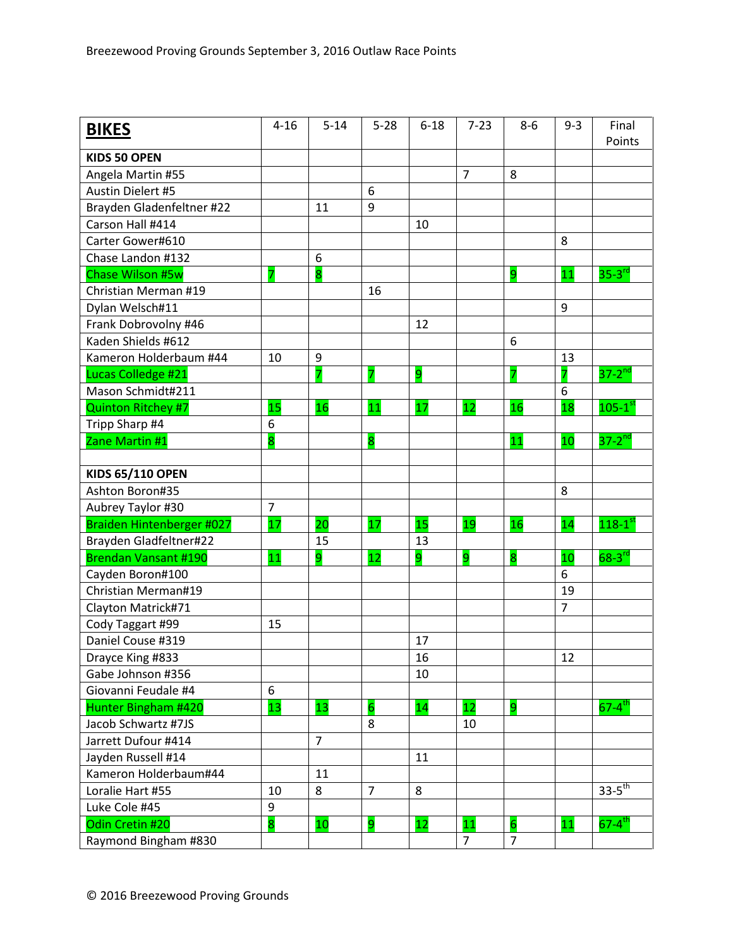| <b>BIKES</b>              | $4 - 16$       | $5 - 14$                | $5 - 28$       | $6 - 18$ | $7 - 23$       | $8-6$           | $9 - 3$        | Final<br>Points        |
|---------------------------|----------------|-------------------------|----------------|----------|----------------|-----------------|----------------|------------------------|
| <b>KIDS 50 OPEN</b>       |                |                         |                |          |                |                 |                |                        |
| Angela Martin #55         |                |                         |                |          | $\overline{7}$ | 8               |                |                        |
| Austin Dielert #5         |                |                         | 6              |          |                |                 |                |                        |
| Brayden Gladenfeltner #22 |                | 11                      | 9              |          |                |                 |                |                        |
| Carson Hall #414          |                |                         |                | 10       |                |                 |                |                        |
| Carter Gower#610          |                |                         |                |          |                |                 | 8              |                        |
| Chase Landon #132         |                | 6                       |                |          |                |                 |                |                        |
| <b>Chase Wilson #5w</b>   | 7              | $\overline{\mathbf{8}}$ |                |          |                | 9               | 11             | $35-3$ <sup>rd</sup>   |
| Christian Merman #19      |                |                         | 16             |          |                |                 |                |                        |
| Dylan Welsch#11           |                |                         |                |          |                |                 | 9              |                        |
| Frank Dobrovolny #46      |                |                         |                | 12       |                |                 |                |                        |
| Kaden Shields #612        |                |                         |                |          |                | 6               |                |                        |
| Kameron Holderbaum #44    | 10             | 9                       |                |          |                |                 | 13             |                        |
| Lucas Colledge #21        |                | 7                       | 7              | 9        |                | 7               | 7              | $37-2^{nd}$            |
| Mason Schmidt#211         |                |                         |                |          |                |                 | 6              |                        |
| <b>Quinton Ritchey #7</b> | 15             | 16                      | 11             | 17       | 12             | 16              | 18             | $105-1$ <sup>st</sup>  |
| Tripp Sharp #4            | 6              |                         |                |          |                |                 |                |                        |
| Zane Martin #1            | 8              |                         | 8              |          |                | 11              | 10             | $37-2$ <sup>nd</sup>   |
|                           |                |                         |                |          |                |                 |                |                        |
| <b>KIDS 65/110 OPEN</b>   |                |                         |                |          |                |                 |                |                        |
| Ashton Boron#35           |                |                         |                |          |                |                 | 8              |                        |
| Aubrey Taylor #30         | $\overline{7}$ |                         |                |          |                |                 |                |                        |
| Braiden Hintenberger #027 | 17             | $\overline{20}$         | 17             | 15       | 19             | 16              | 14             | $118-1$ <sup>st</sup>  |
| Brayden Gladfeltner#22    |                | 15                      |                | 13       |                |                 |                |                        |
| Brendan Vansant #190      | 11             | 9                       | 12             | 9        | 9              | 8               | 10             | $68-3$ <sup>rd</sup>   |
| Cayden Boron#100          |                |                         |                |          |                |                 | 6              |                        |
| Christian Merman#19       |                |                         |                |          |                |                 | 19             |                        |
| Clayton Matrick#71        |                |                         |                |          |                |                 | $\overline{7}$ |                        |
| Cody Taggart #99          | 15             |                         |                |          |                |                 |                |                        |
| Daniel Couse #319         |                |                         |                | 17       |                |                 |                |                        |
| Drayce King #833          |                |                         |                | 16       |                |                 | 12             |                        |
| Gabe Johnson #356         |                |                         |                | 10       |                |                 |                |                        |
| Giovanni Feudale #4       | 6              |                         |                |          |                |                 |                |                        |
| Hunter Bingham #420       | 13             | 13                      | $\overline{6}$ | 14       | 12             | 9               |                | $67 - 4$ <sup>th</sup> |
| Jacob Schwartz #7JS       |                |                         | 8              |          | 10             |                 |                |                        |
| Jarrett Dufour #414       |                | $\overline{7}$          |                |          |                |                 |                |                        |
| Jayden Russell #14        |                |                         |                | 11       |                |                 |                |                        |
| Kameron Holderbaum#44     |                | 11                      |                |          |                |                 |                |                        |
| Loralie Hart #55          | 10             | 8                       | $\overline{7}$ | 8        |                |                 |                | $33 - 5$ <sup>th</sup> |
| Luke Cole #45             | 9              |                         |                |          |                |                 |                |                        |
| Odin Cretin #20           | 8              | 10                      | 9              | 12       | 11             | $6\overline{6}$ | 11             | $67 - 4$ <sup>th</sup> |
| Raymond Bingham #830      |                |                         |                |          | 7              | $\overline{7}$  |                |                        |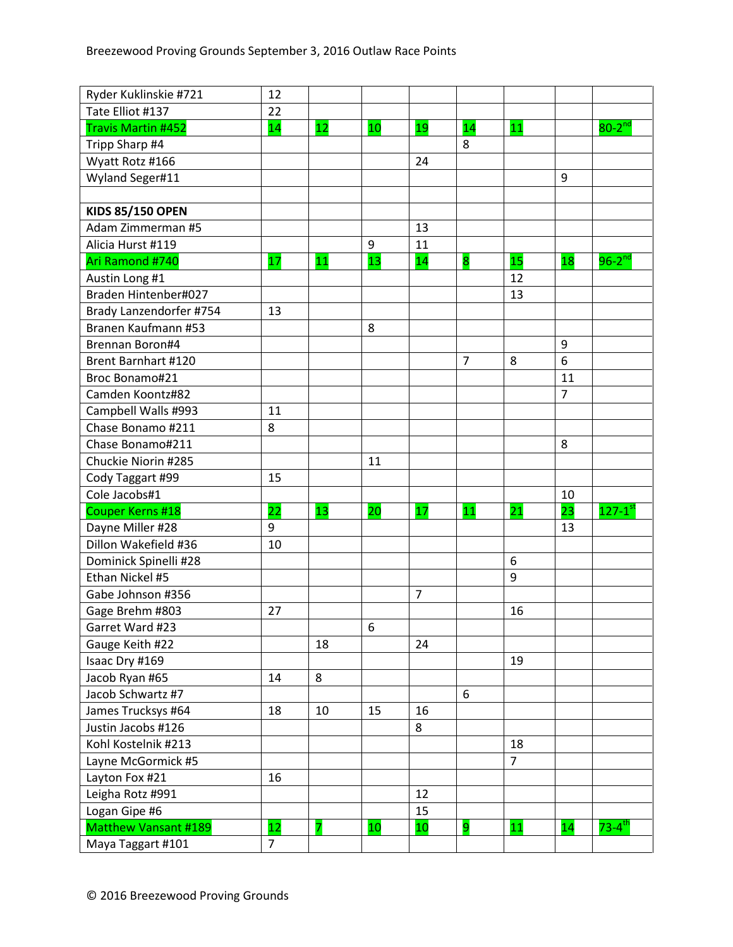| Ryder Kuklinskie #721       | 12             |    |    |    |                |                |                |                        |
|-----------------------------|----------------|----|----|----|----------------|----------------|----------------|------------------------|
| Tate Elliot #137            | 22             |    |    |    |                |                |                |                        |
| <b>Travis Martin #452</b>   | 14             | 12 | 10 | 19 | 14             | 11             |                | $80-2$ <sup>nd</sup>   |
| Tripp Sharp #4              |                |    |    |    | 8              |                |                |                        |
| Wyatt Rotz #166             |                |    |    | 24 |                |                |                |                        |
| Wyland Seger#11             |                |    |    |    |                |                | 9              |                        |
|                             |                |    |    |    |                |                |                |                        |
| <b>KIDS 85/150 OPEN</b>     |                |    |    |    |                |                |                |                        |
| Adam Zimmerman #5           |                |    |    | 13 |                |                |                |                        |
| Alicia Hurst #119           |                |    | 9  | 11 |                |                |                |                        |
| Ari Ramond #740             | 17             | 11 | 13 | 14 | 8              | 15             | 18             | $96-2^{nd}$            |
| Austin Long #1              |                |    |    |    |                | 12             |                |                        |
| Braden Hintenber#027        |                |    |    |    |                | 13             |                |                        |
| Brady Lanzendorfer #754     | 13             |    |    |    |                |                |                |                        |
| Branen Kaufmann #53         |                |    | 8  |    |                |                |                |                        |
| Brennan Boron#4             |                |    |    |    |                |                | 9              |                        |
| <b>Brent Barnhart #120</b>  |                |    |    |    | $\overline{7}$ | 8              | 6              |                        |
| Broc Bonamo#21              |                |    |    |    |                |                | 11             |                        |
| Camden Koontz#82            |                |    |    |    |                |                | $\overline{7}$ |                        |
| Campbell Walls #993         | 11             |    |    |    |                |                |                |                        |
| Chase Bonamo #211           | 8              |    |    |    |                |                |                |                        |
| Chase Bonamo#211            |                |    |    |    |                |                | 8              |                        |
| Chuckie Niorin #285         |                |    | 11 |    |                |                |                |                        |
| Cody Taggart #99            | 15             |    |    |    |                |                |                |                        |
| Cole Jacobs#1               |                |    |    |    |                |                | 10             |                        |
| <b>Couper Kerns #18</b>     | 22             | 13 | 20 | 17 | 11             | 21             | 23             | $127-1$ <sup>st</sup>  |
| Dayne Miller #28            | 9              |    |    |    |                |                | 13             |                        |
| Dillon Wakefield #36        | 10             |    |    |    |                |                |                |                        |
| Dominick Spinelli #28       |                |    |    |    |                | 6              |                |                        |
| Ethan Nickel #5             |                |    |    |    |                | 9              |                |                        |
| Gabe Johnson #356           |                |    |    | 7  |                |                |                |                        |
| Gage Brehm #803             | 27             |    |    |    |                | 16             |                |                        |
| Garret Ward #23             |                |    | 6  |    |                |                |                |                        |
| Gauge Keith #22             |                | 18 |    | 24 |                |                |                |                        |
| Isaac Dry #169              |                |    |    |    |                | 19             |                |                        |
| Jacob Ryan #65              | 14             | 8  |    |    |                |                |                |                        |
| Jacob Schwartz #7           |                |    |    |    | 6              |                |                |                        |
| James Trucksys #64          | 18             | 10 | 15 | 16 |                |                |                |                        |
| Justin Jacobs #126          |                |    |    | 8  |                |                |                |                        |
| Kohl Kostelnik #213         |                |    |    |    |                | 18             |                |                        |
| Layne McGormick #5          |                |    |    |    |                | $\overline{7}$ |                |                        |
| Layton Fox #21              | 16             |    |    |    |                |                |                |                        |
| Leigha Rotz #991            |                |    |    | 12 |                |                |                |                        |
| Logan Gipe #6               |                |    |    | 15 |                |                |                |                        |
| <b>Matthew Vansant #189</b> | 12             | 7  | 10 | 10 | 9              | 11             | 14             | $73 - 4$ <sup>th</sup> |
| Maya Taggart #101           | $\overline{7}$ |    |    |    |                |                |                |                        |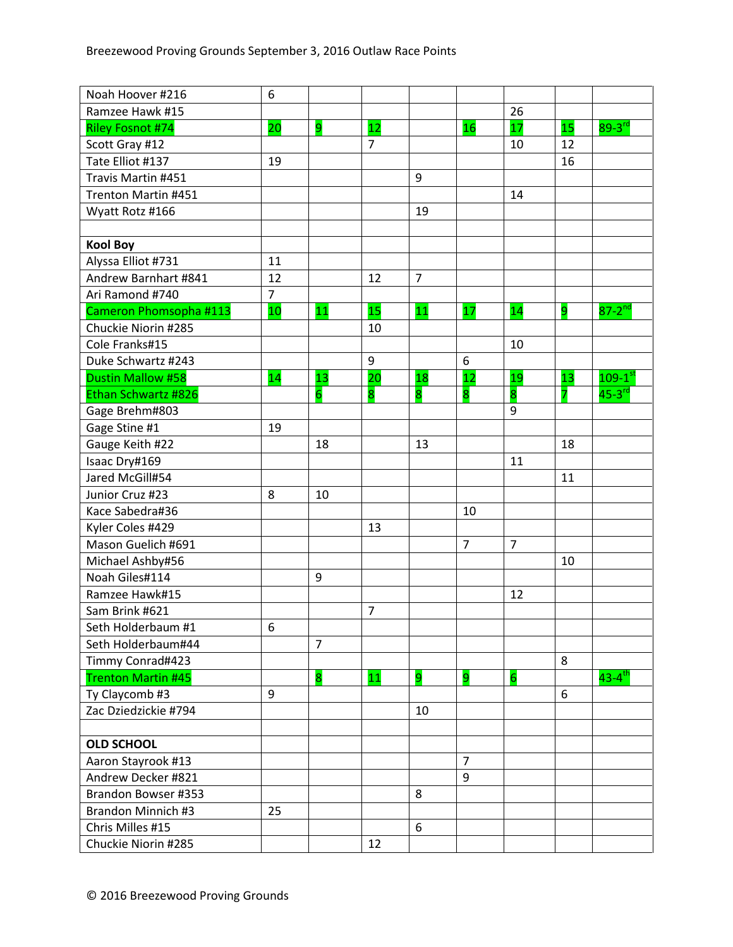| Noah Hoover #216          | 6              |                |                |                |                |                 |    |                        |
|---------------------------|----------------|----------------|----------------|----------------|----------------|-----------------|----|------------------------|
| Ramzee Hawk #15           |                |                |                |                |                | 26              |    |                        |
| <b>Riley Fosnot #74</b>   | 20             | 9              | 12             |                | 16             | 17              | 15 | $89 - 3^{rd}$          |
| Scott Gray #12            |                |                | $\overline{7}$ |                |                | 10              | 12 |                        |
| Tate Elliot #137          | 19             |                |                |                |                |                 | 16 |                        |
| Travis Martin #451        |                |                |                | 9              |                |                 |    |                        |
| Trenton Martin #451       |                |                |                |                |                | 14              |    |                        |
| Wyatt Rotz #166           |                |                |                | 19             |                |                 |    |                        |
|                           |                |                |                |                |                |                 |    |                        |
| <b>Kool Boy</b>           |                |                |                |                |                |                 |    |                        |
| Alyssa Elliot #731        | 11             |                |                |                |                |                 |    |                        |
| Andrew Barnhart #841      | 12             |                | 12             | $\overline{7}$ |                |                 |    |                        |
| Ari Ramond #740           | $\overline{7}$ |                |                |                |                |                 |    |                        |
| Cameron Phomsopha #113    | 10             | 11             | 15             | 11             | 17             | 14              | 9  | $87-2$ <sup>nd</sup>   |
| Chuckie Niorin #285       |                |                | 10             |                |                |                 |    |                        |
| Cole Franks#15            |                |                |                |                |                | 10              |    |                        |
| Duke Schwartz #243        |                |                | 9              |                | 6              |                 |    |                        |
| Dustin Mallow #58         | 14             | 13             | 20             | 18             | 12             | 19              | 13 | $109-1$ <sup>st</sup>  |
| Ethan Schwartz #826       |                | $\overline{6}$ | 8              | 8              | 8              | 8               | 7  | $45-3$ <sup>rd</sup>   |
| Gage Brehm#803            |                |                |                |                |                | 9               |    |                        |
| Gage Stine #1             | 19             |                |                |                |                |                 |    |                        |
| Gauge Keith #22           |                | 18             |                | 13             |                |                 | 18 |                        |
| Isaac Dry#169             |                |                |                |                |                | 11              |    |                        |
| Jared McGill#54           |                |                |                |                |                |                 | 11 |                        |
| Junior Cruz #23           | 8              | 10             |                |                |                |                 |    |                        |
| Kace Sabedra#36           |                |                |                |                | 10             |                 |    |                        |
| Kyler Coles #429          |                |                | 13             |                |                |                 |    |                        |
| Mason Guelich #691        |                |                |                |                | $\overline{7}$ | $\overline{7}$  |    |                        |
| Michael Ashby#56          |                |                |                |                |                |                 | 10 |                        |
| Noah Giles#114            |                | 9              |                |                |                |                 |    |                        |
| Ramzee Hawk#15            |                |                |                |                |                | 12              |    |                        |
| Sam Brink #621            |                |                | $\overline{7}$ |                |                |                 |    |                        |
| Seth Holderbaum #1        | 6              |                |                |                |                |                 |    |                        |
| Seth Holderbaum#44        |                | $\overline{7}$ |                |                |                |                 |    |                        |
| Timmy Conrad#423          |                |                |                |                |                |                 | 8  |                        |
| <b>Trenton Martin #45</b> |                | 8              | 11             | 9              | 9              | $6\overline{6}$ |    | $43 - 4$ <sup>th</sup> |
| Ty Claycomb #3            | 9              |                |                |                |                |                 | 6  |                        |
| Zac Dziedzickie #794      |                |                |                | 10             |                |                 |    |                        |
|                           |                |                |                |                |                |                 |    |                        |
| <b>OLD SCHOOL</b>         |                |                |                |                |                |                 |    |                        |
| Aaron Stayrook #13        |                |                |                |                | $\overline{7}$ |                 |    |                        |
| Andrew Decker #821        |                |                |                |                | 9              |                 |    |                        |
| Brandon Bowser #353       |                |                |                | 8              |                |                 |    |                        |
| Brandon Minnich #3        | 25             |                |                |                |                |                 |    |                        |
| Chris Milles #15          |                |                |                | 6              |                |                 |    |                        |
| Chuckie Niorin #285       |                |                | 12             |                |                |                 |    |                        |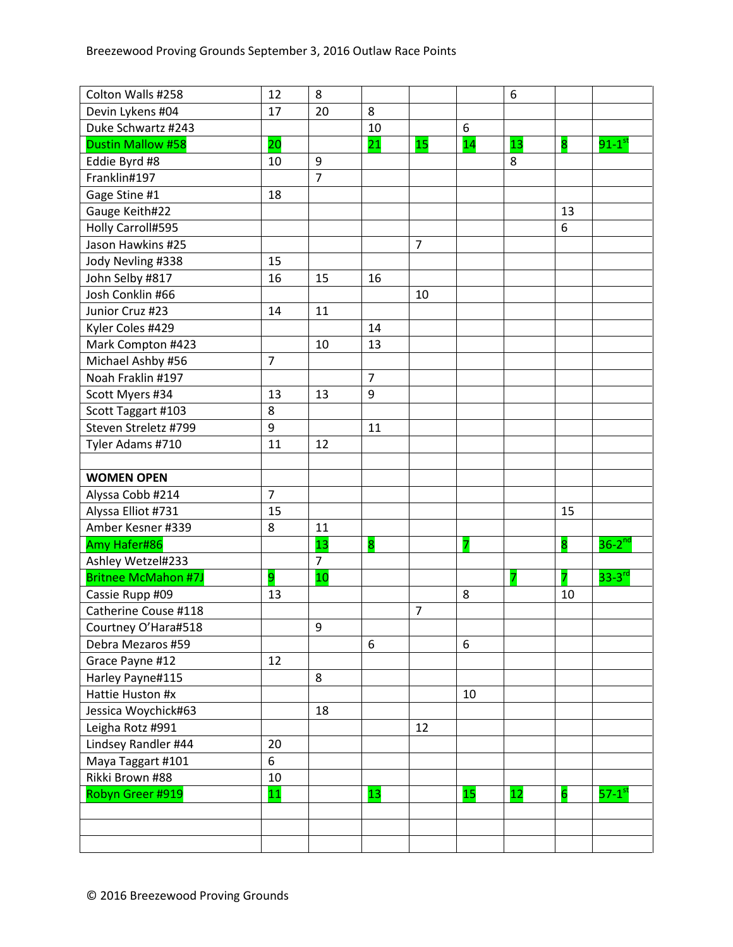| Colton Walls #258          | 12             | 8              |                  |                |    | 6  |                |                      |
|----------------------------|----------------|----------------|------------------|----------------|----|----|----------------|----------------------|
| Devin Lykens #04           | 17             | 20             | 8                |                |    |    |                |                      |
| Duke Schwartz #243         |                |                | 10               |                | 6  |    |                |                      |
| <b>Dustin Mallow #58</b>   | 20             |                | 21               | 15             | 14 | 13 | 8              | $91-1^\text{st}$     |
| Eddie Byrd #8              | 10             | 9              |                  |                |    | 8  |                |                      |
| Franklin#197               |                | $\overline{7}$ |                  |                |    |    |                |                      |
| Gage Stine #1              | 18             |                |                  |                |    |    |                |                      |
| Gauge Keith#22             |                |                |                  |                |    |    | 13             |                      |
| Holly Carroll#595          |                |                |                  |                |    |    | 6              |                      |
| Jason Hawkins #25          |                |                |                  | $\overline{7}$ |    |    |                |                      |
| Jody Nevling #338          | 15             |                |                  |                |    |    |                |                      |
| John Selby #817            | 16             | 15             | 16               |                |    |    |                |                      |
| Josh Conklin #66           |                |                |                  | 10             |    |    |                |                      |
| Junior Cruz #23            | 14             | 11             |                  |                |    |    |                |                      |
| Kyler Coles #429           |                |                | 14               |                |    |    |                |                      |
| Mark Compton #423          |                | 10             | 13               |                |    |    |                |                      |
| Michael Ashby #56          | $\overline{7}$ |                |                  |                |    |    |                |                      |
| Noah Fraklin #197          |                |                | $\overline{7}$   |                |    |    |                |                      |
| Scott Myers #34            | 13             | 13             | $\boldsymbol{9}$ |                |    |    |                |                      |
| Scott Taggart #103         | 8              |                |                  |                |    |    |                |                      |
| Steven Streletz #799       | 9              |                | 11               |                |    |    |                |                      |
| Tyler Adams #710           | 11             | 12             |                  |                |    |    |                |                      |
|                            |                |                |                  |                |    |    |                |                      |
| <b>WOMEN OPEN</b>          |                |                |                  |                |    |    |                |                      |
| Alyssa Cobb #214           | $\overline{7}$ |                |                  |                |    |    |                |                      |
| Alyssa Elliot #731         | 15             |                |                  |                |    |    | 15             |                      |
| Amber Kesner #339          | 8              | 11             |                  |                |    |    |                |                      |
| Amy Hafer#86               |                | 13             | 8                |                | 7  |    | 8              | $36-2^{nd}$          |
| Ashley Wetzel#233          |                | $\overline{7}$ |                  |                |    |    |                |                      |
| <b>Britnee McMahon #7J</b> | 9              | 10             |                  |                |    | 7  |                | $33 - 3^{rd}$        |
| Cassie Rupp #09            | 13             |                |                  |                | 8  |    | 10             |                      |
| Catherine Couse #118       |                |                |                  | $\overline{7}$ |    |    |                |                      |
| Courtney O'Hara#518        |                | 9              |                  |                |    |    |                |                      |
| Debra Mezaros #59          |                |                | 6                |                | 6  |    |                |                      |
| Grace Payne #12            | 12             |                |                  |                |    |    |                |                      |
| Harley Payne#115           |                | 8              |                  |                |    |    |                |                      |
| Hattie Huston #x           |                |                |                  |                | 10 |    |                |                      |
| Jessica Woychick#63        |                | 18             |                  |                |    |    |                |                      |
| Leigha Rotz #991           |                |                |                  | 12             |    |    |                |                      |
| Lindsey Randler #44        | 20             |                |                  |                |    |    |                |                      |
| Maya Taggart #101          | 6              |                |                  |                |    |    |                |                      |
| Rikki Brown #88            | 10             |                |                  |                |    |    |                |                      |
| Robyn Greer #919           | 11             |                | 13               |                | 15 | 12 | $\overline{6}$ | $57-1$ <sup>st</sup> |
|                            |                |                |                  |                |    |    |                |                      |
|                            |                |                |                  |                |    |    |                |                      |
|                            |                |                |                  |                |    |    |                |                      |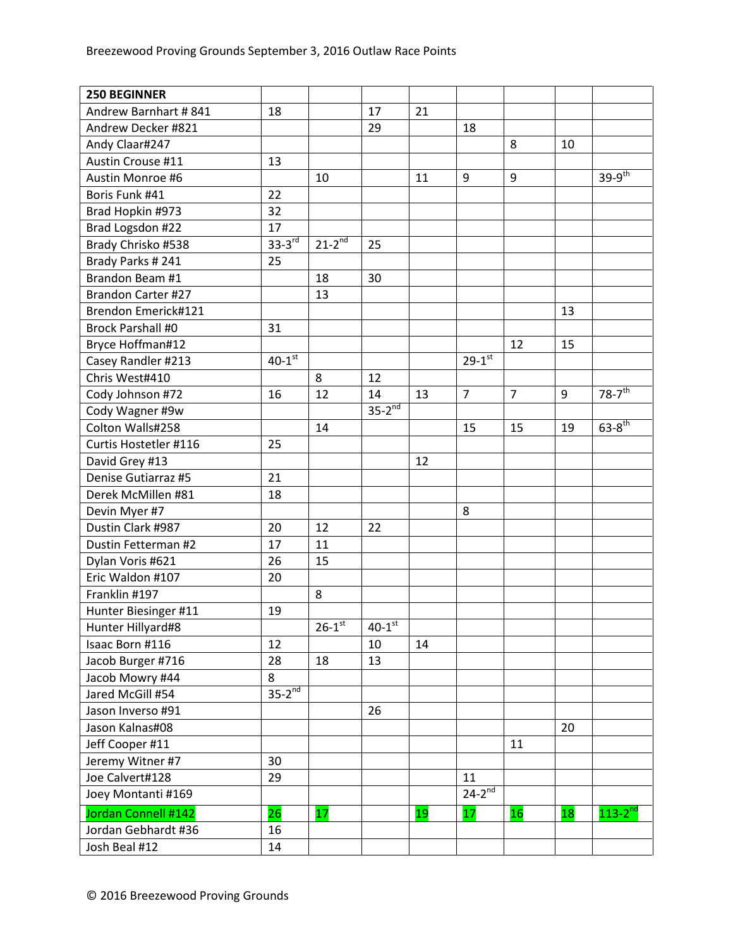| <b>250 BEGINNER</b>       |               |                        |                      |    |                |                |    |                        |
|---------------------------|---------------|------------------------|----------------------|----|----------------|----------------|----|------------------------|
| Andrew Barnhart #841      | 18            |                        | 17                   | 21 |                |                |    |                        |
| Andrew Decker #821        |               |                        | 29                   |    | 18             |                |    |                        |
| Andy Claar#247            |               |                        |                      |    |                | 8              | 10 |                        |
| Austin Crouse #11         | 13            |                        |                      |    |                |                |    |                        |
| Austin Monroe #6          |               | 10                     |                      | 11 | $9\,$          | 9              |    | $39-9$ <sup>th</sup>   |
| Boris Funk #41            | 22            |                        |                      |    |                |                |    |                        |
| Brad Hopkin #973          | 32            |                        |                      |    |                |                |    |                        |
| Brad Logsdon #22          | 17            |                        |                      |    |                |                |    |                        |
| Brady Chrisko #538        | $33 - 3^{rd}$ | $21 - 2^{nd}$          | 25                   |    |                |                |    |                        |
| Brady Parks #241          | 25            |                        |                      |    |                |                |    |                        |
| Brandon Beam #1           |               | 18                     | 30                   |    |                |                |    |                        |
| <b>Brandon Carter #27</b> |               | 13                     |                      |    |                |                |    |                        |
| Brendon Emerick#121       |               |                        |                      |    |                |                | 13 |                        |
| <b>Brock Parshall #0</b>  | 31            |                        |                      |    |                |                |    |                        |
| Bryce Hoffman#12          |               |                        |                      |    |                | 12             | 15 |                        |
| Casey Randler #213        | $40 - 1$ st   |                        |                      |    | $29 - 1^{st}$  |                |    |                        |
| Chris West#410            |               | 8                      | 12                   |    |                |                |    |                        |
| Cody Johnson #72          | 16            | 12                     | 14                   | 13 | $\overline{7}$ | $\overline{7}$ | 9  | $78 - 7$ <sup>th</sup> |
| Cody Wagner #9w           |               |                        | $35-2^{nd}$          |    |                |                |    |                        |
| Colton Walls#258          |               | 14                     |                      |    | 15             | 15             | 19 | $63 - 8^{th}$          |
| Curtis Hostetler #116     | 25            |                        |                      |    |                |                |    |                        |
| David Grey #13            |               |                        |                      | 12 |                |                |    |                        |
| Denise Gutiarraz #5       | 21            |                        |                      |    |                |                |    |                        |
| Derek McMillen #81        | 18            |                        |                      |    |                |                |    |                        |
| Devin Myer #7             |               |                        |                      |    | 8              |                |    |                        |
| Dustin Clark #987         | 20            | 12                     | 22                   |    |                |                |    |                        |
| Dustin Fetterman #2       | 17            | 11                     |                      |    |                |                |    |                        |
| Dylan Voris #621          | 26            | 15                     |                      |    |                |                |    |                        |
| Eric Waldon #107          | 20            |                        |                      |    |                |                |    |                        |
| Franklin #197             |               | 8                      |                      |    |                |                |    |                        |
| Hunter Biesinger #11      | 19            |                        |                      |    |                |                |    |                        |
| Hunter Hillyard#8         |               | $26 - 1$ <sup>st</sup> | $40-1$ <sup>st</sup> |    |                |                |    |                        |
| Isaac Born #116           | 12            |                        | 10                   | 14 |                |                |    |                        |
| Jacob Burger #716         | 28            | 18                     | 13                   |    |                |                |    |                        |
| Jacob Mowry #44           | 8             |                        |                      |    |                |                |    |                        |
| Jared McGill #54          | $35-2^{nd}$   |                        |                      |    |                |                |    |                        |
| Jason Inverso #91         |               |                        | 26                   |    |                |                |    |                        |
| Jason Kalnas#08           |               |                        |                      |    |                |                | 20 |                        |
| Jeff Cooper #11           |               |                        |                      |    |                | 11             |    |                        |
| Jeremy Witner #7          | 30            |                        |                      |    |                |                |    |                        |
| Joe Calvert#128           | 29            |                        |                      |    | 11             |                |    |                        |
| Joey Montanti #169        |               |                        |                      |    | $24-2^{nd}$    |                |    |                        |
| Jordan Connell #142       | 26            | 17                     |                      | 19 | 17             | 16             | 18 | $113-2^{nd}$           |
| Jordan Gebhardt #36       | 16            |                        |                      |    |                |                |    |                        |
| Josh Beal #12             | 14            |                        |                      |    |                |                |    |                        |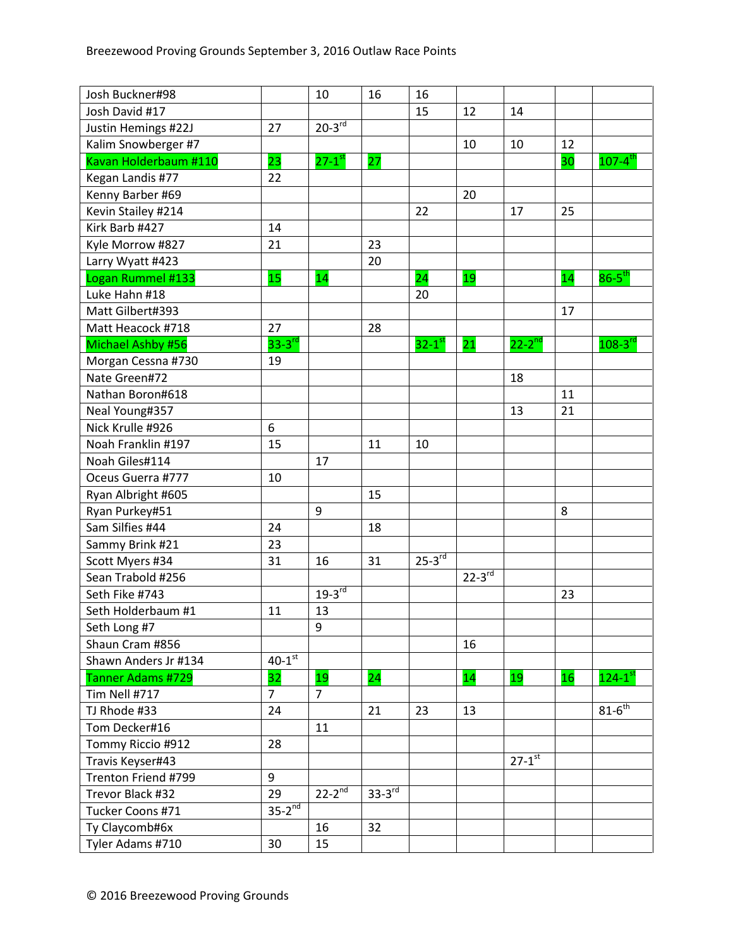| Josh Buckner#98       |                      | 10                   | 16                   | 16                   |             |                    |    |                         |
|-----------------------|----------------------|----------------------|----------------------|----------------------|-------------|--------------------|----|-------------------------|
| Josh David #17        |                      |                      |                      | 15                   | 12          | 14                 |    |                         |
| Justin Hemings #22J   | 27                   | $20-3^{rd}$          |                      |                      |             |                    |    |                         |
| Kalim Snowberger #7   |                      |                      |                      |                      | 10          | 10                 | 12 |                         |
| Kavan Holderbaum #110 | 23                   | $27-1$ <sup>st</sup> | 27                   |                      |             |                    | 30 | $107 - 4$ <sup>th</sup> |
| Kegan Landis #77      | 22                   |                      |                      |                      |             |                    |    |                         |
| Kenny Barber #69      |                      |                      |                      |                      | 20          |                    |    |                         |
| Kevin Stailey #214    |                      |                      |                      | 22                   |             | 17                 | 25 |                         |
| Kirk Barb #427        | 14                   |                      |                      |                      |             |                    |    |                         |
| Kyle Morrow #827      | 21                   |                      | 23                   |                      |             |                    |    |                         |
| Larry Wyatt #423      |                      |                      | 20                   |                      |             |                    |    |                         |
| Logan Rummel #133     | 15                   | 14                   |                      | $\overline{24}$      | 19          |                    | 14 | $86-5$ <sup>th</sup>    |
| Luke Hahn #18         |                      |                      |                      | 20                   |             |                    |    |                         |
| Matt Gilbert#393      |                      |                      |                      |                      |             |                    | 17 |                         |
| Matt Heacock #718     | 27                   |                      | 28                   |                      |             |                    |    |                         |
| Michael Ashby #56     | $33 - 3^{rd}$        |                      |                      | $32-1$ <sup>st</sup> | 21          | $22-2^{\text{nd}}$ |    | $108 - 3^{rd}$          |
| Morgan Cessna #730    | 19                   |                      |                      |                      |             |                    |    |                         |
| Nate Green#72         |                      |                      |                      |                      |             | 18                 |    |                         |
| Nathan Boron#618      |                      |                      |                      |                      |             |                    | 11 |                         |
| Neal Young#357        |                      |                      |                      |                      |             | 13                 | 21 |                         |
| Nick Krulle #926      | 6                    |                      |                      |                      |             |                    |    |                         |
| Noah Franklin #197    | 15                   |                      | 11                   | 10                   |             |                    |    |                         |
| Noah Giles#114        |                      | 17                   |                      |                      |             |                    |    |                         |
| Oceus Guerra #777     | 10                   |                      |                      |                      |             |                    |    |                         |
| Ryan Albright #605    |                      |                      | 15                   |                      |             |                    |    |                         |
| Ryan Purkey#51        |                      | 9                    |                      |                      |             |                    | 8  |                         |
| Sam Silfies #44       | 24                   |                      | 18                   |                      |             |                    |    |                         |
| Sammy Brink #21       | 23                   |                      |                      |                      |             |                    |    |                         |
| Scott Myers #34       | 31                   | 16                   | 31                   | $25-3^{rd}$          |             |                    |    |                         |
| Sean Trabold #256     |                      |                      |                      |                      | $22-3^{rd}$ |                    |    |                         |
| Seth Fike #743        |                      | $19-3^{rd}$          |                      |                      |             |                    | 23 |                         |
| Seth Holderbaum #1    | 11                   | 13                   |                      |                      |             |                    |    |                         |
| Seth Long #7          |                      | 9                    |                      |                      |             |                    |    |                         |
| Shaun Cram #856       |                      |                      |                      |                      | 16          |                    |    |                         |
| Shawn Anders Jr #134  | $40-1$ <sup>st</sup> |                      |                      |                      |             |                    |    |                         |
| Tanner Adams #729     | 32                   | 19                   | 24                   |                      | 14          | 19                 | 16 | $124-1$ <sup>st</sup>   |
| Tim Nell #717         | $\overline{7}$       | $\overline{7}$       |                      |                      |             |                    |    |                         |
| TJ Rhode #33          | 24                   |                      | 21                   | 23                   | 13          |                    |    | $81-6^{th}$             |
| Tom Decker#16         |                      | 11                   |                      |                      |             |                    |    |                         |
| Tommy Riccio #912     | 28                   |                      |                      |                      |             |                    |    |                         |
| Travis Keyser#43      |                      |                      |                      |                      |             | $27-1$ st          |    |                         |
| Trenton Friend #799   | 9                    |                      |                      |                      |             |                    |    |                         |
| Trevor Black #32      | 29                   | $22 - 2^{nd}$        | $33-3$ <sup>rd</sup> |                      |             |                    |    |                         |
| Tucker Coons #71      | $35-2^{nd}$          |                      |                      |                      |             |                    |    |                         |
| Ty Claycomb#6x        |                      | 16                   | 32                   |                      |             |                    |    |                         |
| Tyler Adams #710      | 30                   | 15                   |                      |                      |             |                    |    |                         |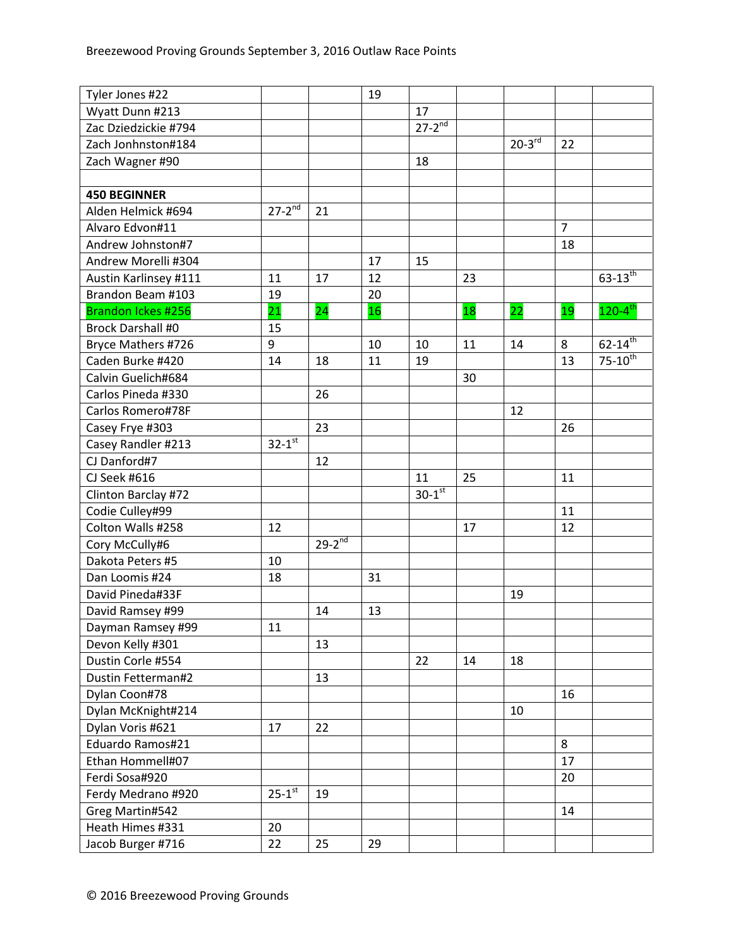| Tyler Jones #22          |                        |             | 19 |                      |    |             |                |                         |
|--------------------------|------------------------|-------------|----|----------------------|----|-------------|----------------|-------------------------|
| Wyatt Dunn #213          |                        |             |    | 17                   |    |             |                |                         |
| Zac Dziedzickie #794     |                        |             |    | $27 - 2^{nd}$        |    |             |                |                         |
| Zach Jonhnston#184       |                        |             |    |                      |    | $20-3^{rd}$ | 22             |                         |
| Zach Wagner #90          |                        |             |    | 18                   |    |             |                |                         |
|                          |                        |             |    |                      |    |             |                |                         |
| <b>450 BEGINNER</b>      |                        |             |    |                      |    |             |                |                         |
| Alden Helmick #694       | $27-2^{nd}$            | 21          |    |                      |    |             |                |                         |
| Alvaro Edvon#11          |                        |             |    |                      |    |             | $\overline{7}$ |                         |
| Andrew Johnston#7        |                        |             |    |                      |    |             | 18             |                         |
| Andrew Morelli #304      |                        |             | 17 | 15                   |    |             |                |                         |
| Austin Karlinsey #111    | 11                     | 17          | 12 |                      | 23 |             |                | $63 - 13^{th}$          |
| Brandon Beam #103        | 19                     |             | 20 |                      |    |             |                |                         |
| Brandon Ickes #256       | $\overline{21}$        | 24          | 16 |                      | 18 | 22          | 19             | $120 - 4$ <sup>th</sup> |
| <b>Brock Darshall #0</b> | 15                     |             |    |                      |    |             |                |                         |
| Bryce Mathers #726       | 9                      |             | 10 | 10                   | 11 | 14          | 8              | $62 - 14$ <sup>th</sup> |
| Caden Burke #420         | 14                     | 18          | 11 | 19                   |    |             | 13             | $75 - 10^{th}$          |
| Calvin Guelich#684       |                        |             |    |                      | 30 |             |                |                         |
| Carlos Pineda #330       |                        | 26          |    |                      |    |             |                |                         |
| Carlos Romero#78F        |                        |             |    |                      |    | 12          |                |                         |
| Casey Frye #303          |                        | 23          |    |                      |    |             | 26             |                         |
| Casey Randler #213       | $32-1$ st              |             |    |                      |    |             |                |                         |
| CJ Danford#7             |                        | 12          |    |                      |    |             |                |                         |
| CJ Seek #616             |                        |             |    | 11                   | 25 |             | 11             |                         |
| Clinton Barclay #72      |                        |             |    | $30-1$ <sup>st</sup> |    |             |                |                         |
| Codie Culley#99          |                        |             |    |                      |    |             | 11             |                         |
| Colton Walls #258        | 12                     |             |    |                      | 17 |             | 12             |                         |
| Cory McCully#6           |                        | $29-2^{nd}$ |    |                      |    |             |                |                         |
| Dakota Peters #5         | 10                     |             |    |                      |    |             |                |                         |
| Dan Loomis #24           | 18                     |             | 31 |                      |    |             |                |                         |
| David Pineda#33F         |                        |             |    |                      |    | 19          |                |                         |
| David Ramsey #99         |                        | 14          | 13 |                      |    |             |                |                         |
| Dayman Ramsey #99        | 11                     |             |    |                      |    |             |                |                         |
| Devon Kelly #301         |                        | 13          |    |                      |    |             |                |                         |
| Dustin Corle #554        |                        |             |    | 22                   | 14 | 18          |                |                         |
| Dustin Fetterman#2       |                        | 13          |    |                      |    |             |                |                         |
| Dylan Coon#78            |                        |             |    |                      |    |             | 16             |                         |
| Dylan McKnight#214       |                        |             |    |                      |    | 10          |                |                         |
| Dylan Voris #621         | 17                     | 22          |    |                      |    |             |                |                         |
| Eduardo Ramos#21         |                        |             |    |                      |    |             | 8              |                         |
| Ethan Hommell#07         |                        |             |    |                      |    |             | 17             |                         |
| Ferdi Sosa#920           |                        |             |    |                      |    |             | 20             |                         |
| Ferdy Medrano #920       | $25 - 1$ <sup>st</sup> | 19          |    |                      |    |             |                |                         |
| Greg Martin#542          |                        |             |    |                      |    |             | 14             |                         |
| Heath Himes #331         | 20                     |             |    |                      |    |             |                |                         |
| Jacob Burger #716        | 22                     | 25          | 29 |                      |    |             |                |                         |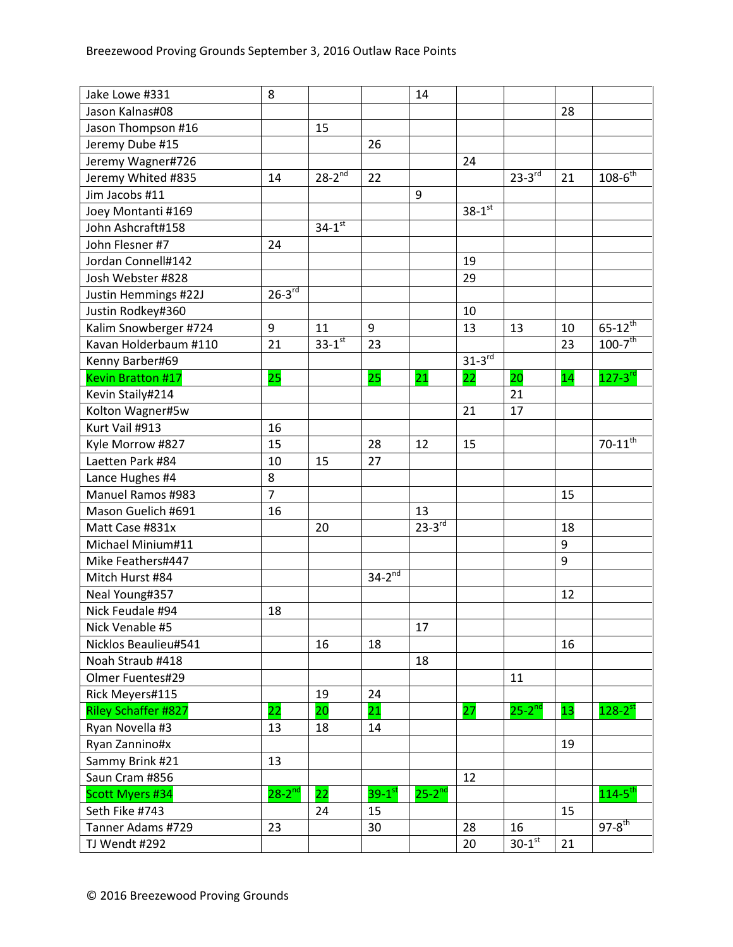| Jake Lowe #331             | 8              |                        |                          | 14                   |                        |                      |                 |                         |
|----------------------------|----------------|------------------------|--------------------------|----------------------|------------------------|----------------------|-----------------|-------------------------|
| Jason Kalnas#08            |                |                        |                          |                      |                        |                      | 28              |                         |
| Jason Thompson #16         |                | 15                     |                          |                      |                        |                      |                 |                         |
| Jeremy Dube #15            |                |                        | 26                       |                      |                        |                      |                 |                         |
| Jeremy Wagner#726          |                |                        |                          |                      | 24                     |                      |                 |                         |
| Jeremy Whited #835         | 14             | $28-2^{nd}$            | 22                       |                      |                        | $23 - 3^{rd}$        | 21              | $108 - 6^{th}$          |
| Jim Jacobs #11             |                |                        |                          | 9                    |                        |                      |                 |                         |
| Joey Montanti #169         |                |                        |                          |                      | $38-1$ st              |                      |                 |                         |
| John Ashcraft#158          |                | $34 - 1^{st}$          |                          |                      |                        |                      |                 |                         |
| John Flesner #7            | 24             |                        |                          |                      |                        |                      |                 |                         |
| Jordan Connell#142         |                |                        |                          |                      | 19                     |                      |                 |                         |
| Josh Webster #828          |                |                        |                          |                      | 29                     |                      |                 |                         |
| Justin Hemmings #22J       | $26 - 3^{rd}$  |                        |                          |                      |                        |                      |                 |                         |
| Justin Rodkey#360          |                |                        |                          |                      | 10                     |                      |                 |                         |
| Kalim Snowberger #724      | 9              | 11                     | 9                        |                      | 13                     | 13                   | 10              | $65 - 12^{th}$          |
| Kavan Holderbaum #110      | 21             | $33 - 1$ <sup>st</sup> | 23                       |                      |                        |                      | 23              | $100 - 7$ <sup>th</sup> |
| Kenny Barber#69            |                |                        |                          |                      | $31 - 3$ <sup>rd</sup> |                      |                 |                         |
| <b>Kevin Bratton #17</b>   | 25             |                        | 25                       | $\overline{21}$      | 22                     | 20                   | 14              | $127 - 3^{rd}$          |
| Kevin Staily#214           |                |                        |                          |                      |                        | 21                   |                 |                         |
| Kolton Wagner#5w           |                |                        |                          |                      | 21                     | 17                   |                 |                         |
| Kurt Vail #913             | 16             |                        |                          |                      |                        |                      |                 |                         |
| Kyle Morrow #827           | 15             |                        | 28                       | 12                   | 15                     |                      |                 | $70 - 11^{th}$          |
| Laetten Park #84           | 10             | 15                     | 27                       |                      |                        |                      |                 |                         |
| Lance Hughes #4            | 8              |                        |                          |                      |                        |                      |                 |                         |
| <b>Manuel Ramos #983</b>   | $\overline{7}$ |                        |                          |                      |                        |                      | 15              |                         |
| Mason Guelich #691         | 16             |                        |                          | 13                   |                        |                      |                 |                         |
| Matt Case #831x            |                | 20                     |                          | $23-3^{rd}$          |                        |                      | 18              |                         |
| Michael Minium#11          |                |                        |                          |                      |                        |                      | 9               |                         |
| Mike Feathers#447          |                |                        |                          |                      |                        |                      | 9               |                         |
| Mitch Hurst #84            |                |                        | $34 - 2^{\overline{nd}}$ |                      |                        |                      |                 |                         |
| Neal Young#357             |                |                        |                          |                      |                        |                      | 12              |                         |
| Nick Feudale #94           | 18             |                        |                          |                      |                        |                      |                 |                         |
| Nick Venable #5            |                |                        |                          | 17                   |                        |                      |                 |                         |
| Nicklos Beaulieu#541       |                | 16                     | 18                       |                      |                        |                      | 16              |                         |
| Noah Straub #418           |                |                        |                          | 18                   |                        |                      |                 |                         |
| Olmer Fuentes#29           |                |                        |                          |                      |                        | 11                   |                 |                         |
| Rick Meyers#115            |                | 19                     | 24                       |                      |                        |                      |                 |                         |
| <b>Riley Schaffer #827</b> | 22             | 20                     | 21                       |                      | 27                     | $25-2^{nd}$          | 13 <sub>1</sub> | $128-2^{st}$            |
| Ryan Novella #3            | 13             | 18                     | 14                       |                      |                        |                      |                 |                         |
| Ryan Zannino#x             |                |                        |                          |                      |                        |                      | 19              |                         |
| Sammy Brink #21            | 13             |                        |                          |                      |                        |                      |                 |                         |
| Saun Cram #856             |                |                        |                          |                      | 12                     |                      |                 |                         |
| Scott Myers #34            | $28 - 2^{nd}$  | 22                     | $39-1$ <sup>st</sup>     | $25-2$ <sup>nd</sup> |                        |                      |                 | $114 - 5$ <sup>th</sup> |
| Seth Fike #743             |                | 24                     | 15                       |                      |                        |                      | 15              |                         |
| Tanner Adams #729          | 23             |                        | 30                       |                      | 28                     | 16                   |                 | $97-8$ <sup>th</sup>    |
| TJ Wendt #292              |                |                        |                          |                      | 20                     | $30-1$ <sup>st</sup> | 21              |                         |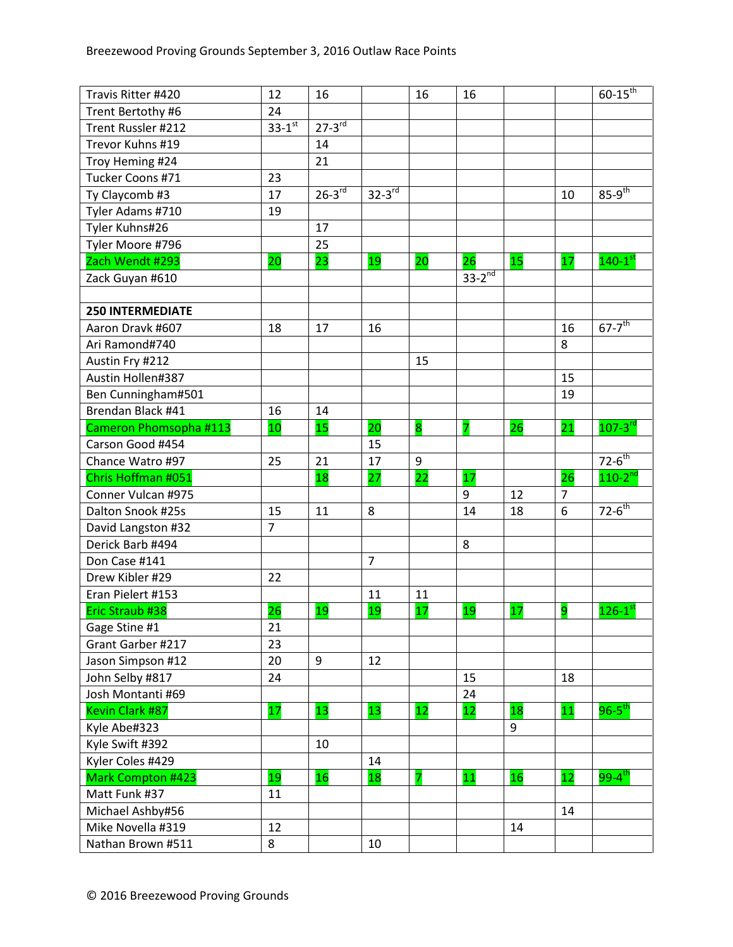| Travis Ritter #420      | 12                     | 16          |                | 16              | 16          |                 |                 | $60 - 15^{th}$          |
|-------------------------|------------------------|-------------|----------------|-----------------|-------------|-----------------|-----------------|-------------------------|
| Trent Bertothy #6       | 24                     |             |                |                 |             |                 |                 |                         |
| Trent Russler #212      | $33 - 1$ <sup>st</sup> | $27-3^{rd}$ |                |                 |             |                 |                 |                         |
| Trevor Kuhns #19        |                        | 14          |                |                 |             |                 |                 |                         |
| Troy Heming #24         |                        | 21          |                |                 |             |                 |                 |                         |
| Tucker Coons #71        | 23                     |             |                |                 |             |                 |                 |                         |
| Ty Claycomb #3          | 17                     | $26 - 3$ rd | $32-3^{rd}$    |                 |             |                 | 10              | $85-9^{th}$             |
| Tyler Adams #710        | 19                     |             |                |                 |             |                 |                 |                         |
| Tyler Kuhns#26          |                        | 17          |                |                 |             |                 |                 |                         |
| Tyler Moore #796        |                        | 25          |                |                 |             |                 |                 |                         |
| Zach Wendt #293         | 20                     | 23          | 19             | 20              | 26          | 15 <sub>1</sub> | 17              | $140-1$ <sup>st</sup>   |
| Zack Guyan #610         |                        |             |                |                 | $33-2^{nd}$ |                 |                 |                         |
|                         |                        |             |                |                 |             |                 |                 |                         |
| <b>250 INTERMEDIATE</b> |                        |             |                |                 |             |                 |                 |                         |
| Aaron Dravk #607        | 18                     | 17          | 16             |                 |             |                 | 16              | $67-7$ <sup>th</sup>    |
| Ari Ramond#740          |                        |             |                |                 |             |                 | 8               |                         |
| Austin Fry #212         |                        |             |                | 15              |             |                 |                 |                         |
| Austin Hollen#387       |                        |             |                |                 |             |                 | 15              |                         |
| Ben Cunningham#501      |                        |             |                |                 |             |                 | 19              |                         |
| Brendan Black #41       | 16                     | 14          |                |                 |             |                 |                 |                         |
| Cameron Phomsopha #113  | 10                     | 15          | 20             | 8               | 7           | 26              | $\overline{21}$ | $107 - 3$ <sup>rd</sup> |
| Carson Good #454        |                        |             | 15             |                 |             |                 |                 |                         |
| Chance Watro #97        | 25                     | 21          | 17             | 9               |             |                 |                 | $72-6^{th}$             |
| Chris Hoffman #051      |                        | 18          | 27             | $\overline{22}$ | 17          |                 | 26              | $110 - 2^{nd}$          |
| Conner Vulcan #975      |                        |             |                |                 | 9           | 12              | $\overline{7}$  |                         |
| Dalton Snook #25s       | 15                     | 11          | 8              |                 | 14          | 18              | 6               | $72-6^{th}$             |
| David Langston #32      | $\overline{7}$         |             |                |                 |             |                 |                 |                         |
| Derick Barb #494        |                        |             |                |                 | 8           |                 |                 |                         |
| Don Case #141           |                        |             | $\overline{7}$ |                 |             |                 |                 |                         |
| Drew Kibler #29         | 22                     |             |                |                 |             |                 |                 |                         |
| Eran Pielert #153       |                        |             | 11             | 11              |             |                 |                 |                         |
| Eric Straub #38         | 26                     | 19          | 19             | 17              | 19          | 17              | 9               | $126-1$ <sup>st</sup>   |
| Gage Stine #1           | 21                     |             |                |                 |             |                 |                 |                         |
| Grant Garber #217       | 23                     |             |                |                 |             |                 |                 |                         |
| Jason Simpson #12       | 20                     | 9           | 12             |                 |             |                 |                 |                         |
| John Selby #817         | 24                     |             |                |                 | 15          |                 | 18              |                         |
| Josh Montanti #69       |                        |             |                |                 | 24          |                 |                 |                         |
| Kevin Clark #87         | 17                     | 13          | 13             | 12              | 12          | 18              | 11              | $96 - 5$ <sup>th</sup>  |
| Kyle Abe#323            |                        |             |                |                 |             | 9               |                 |                         |
| Kyle Swift #392         |                        | 10          |                |                 |             |                 |                 |                         |
| Kyler Coles #429        |                        |             | 14             |                 |             |                 |                 |                         |
| Mark Compton #423       | 19                     | 16          | 18             | 7               | 11          | 16              | 12 <sub>2</sub> | $99 - 4$ <sup>th</sup>  |
| Matt Funk #37           | 11                     |             |                |                 |             |                 |                 |                         |
| Michael Ashby#56        |                        |             |                |                 |             |                 | 14              |                         |
| Mike Novella #319       | 12                     |             |                |                 |             | 14              |                 |                         |
| Nathan Brown #511       | 8                      |             | 10             |                 |             |                 |                 |                         |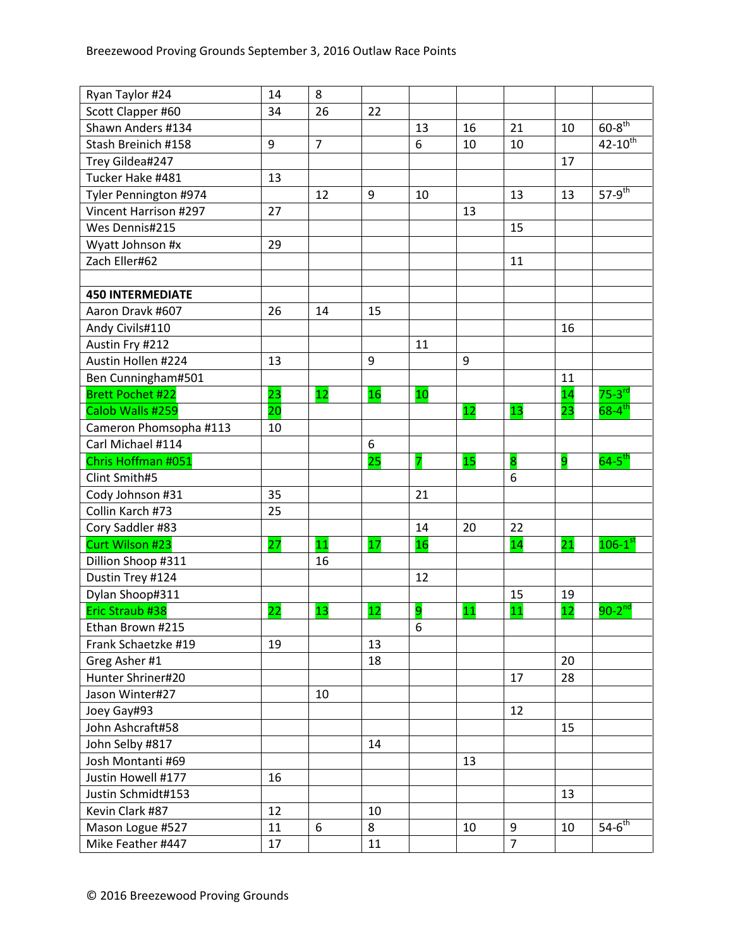| Ryan Taylor #24         | 14 | 8              |    |                |    |                |    |                        |
|-------------------------|----|----------------|----|----------------|----|----------------|----|------------------------|
| Scott Clapper #60       | 34 | 26             | 22 |                |    |                |    |                        |
| Shawn Anders #134       |    |                |    | 13             | 16 | 21             | 10 | $60 - 8$ <sup>th</sup> |
| Stash Breinich #158     | 9  | $\overline{7}$ |    | 6              | 10 | 10             |    | $42 - 10^{th}$         |
| Trey Gildea#247         |    |                |    |                |    |                | 17 |                        |
| Tucker Hake #481        | 13 |                |    |                |    |                |    |                        |
| Tyler Pennington #974   |    | 12             | 9  | 10             |    | 13             | 13 | $57-9$ <sup>th</sup>   |
| Vincent Harrison #297   | 27 |                |    |                | 13 |                |    |                        |
| Wes Dennis#215          |    |                |    |                |    | 15             |    |                        |
| Wyatt Johnson #x        | 29 |                |    |                |    |                |    |                        |
| Zach Eller#62           |    |                |    |                |    | 11             |    |                        |
|                         |    |                |    |                |    |                |    |                        |
| <b>450 INTERMEDIATE</b> |    |                |    |                |    |                |    |                        |
| Aaron Dravk #607        | 26 | 14             | 15 |                |    |                |    |                        |
| Andy Civils#110         |    |                |    |                |    |                | 16 |                        |
| Austin Fry #212         |    |                |    | 11             |    |                |    |                        |
| Austin Hollen #224      | 13 |                | 9  |                | 9  |                |    |                        |
| Ben Cunningham#501      |    |                |    |                |    |                | 11 |                        |
| <b>Brett Pochet #22</b> | 23 | 12             | 16 | 10             |    |                | 14 | $75-3$ <sup>rd</sup>   |
| Calob Walls #259        | 20 |                |    |                | 12 | 13             | 23 | $68 - 4$ <sup>th</sup> |
| Cameron Phomsopha #113  | 10 |                |    |                |    |                |    |                        |
| Carl Michael #114       |    |                | 6  |                |    |                |    |                        |
| Chris Hoffman #051      |    |                | 25 | 7              | 15 | 8              | 9  | $64-5^{\text{th}}$     |
| Clint Smith#5           |    |                |    |                |    | 6              |    |                        |
| Cody Johnson #31        | 35 |                |    | 21             |    |                |    |                        |
| Collin Karch #73        | 25 |                |    |                |    |                |    |                        |
| Cory Saddler #83        |    |                |    | 14             | 20 | 22             |    |                        |
| Curt Wilson #23         | 27 | 11             | 17 | 16             |    | 14             | 21 | $106-1^\mathrm{st}$    |
| Dillion Shoop #311      |    | 16             |    |                |    |                |    |                        |
| Dustin Trey #124        |    |                |    | 12             |    |                |    |                        |
| Dylan Shoop#311         |    |                |    |                |    | 15             | 19 |                        |
| Eric Straub #38         | 22 | 13             | 12 | $\overline{9}$ | 11 | 11             | 12 | $90-2^{nd}$            |
| Ethan Brown #215        |    |                |    | 6              |    |                |    |                        |
| Frank Schaetzke #19     | 19 |                | 13 |                |    |                |    |                        |
| Greg Asher #1           |    |                | 18 |                |    |                | 20 |                        |
| Hunter Shriner#20       |    |                |    |                |    | 17             | 28 |                        |
| Jason Winter#27         |    | 10             |    |                |    |                |    |                        |
| Joey Gay#93             |    |                |    |                |    | 12             |    |                        |
| John Ashcraft#58        |    |                |    |                |    |                | 15 |                        |
| John Selby #817         |    |                | 14 |                |    |                |    |                        |
| Josh Montanti #69       |    |                |    |                | 13 |                |    |                        |
| Justin Howell #177      | 16 |                |    |                |    |                |    |                        |
| Justin Schmidt#153      |    |                |    |                |    |                | 13 |                        |
| Kevin Clark #87         | 12 |                | 10 |                |    |                |    |                        |
| Mason Logue #527        | 11 | 6              | 8  |                | 10 | 9              | 10 | $54 - 6$ <sup>th</sup> |
| Mike Feather #447       | 17 |                | 11 |                |    | $\overline{7}$ |    |                        |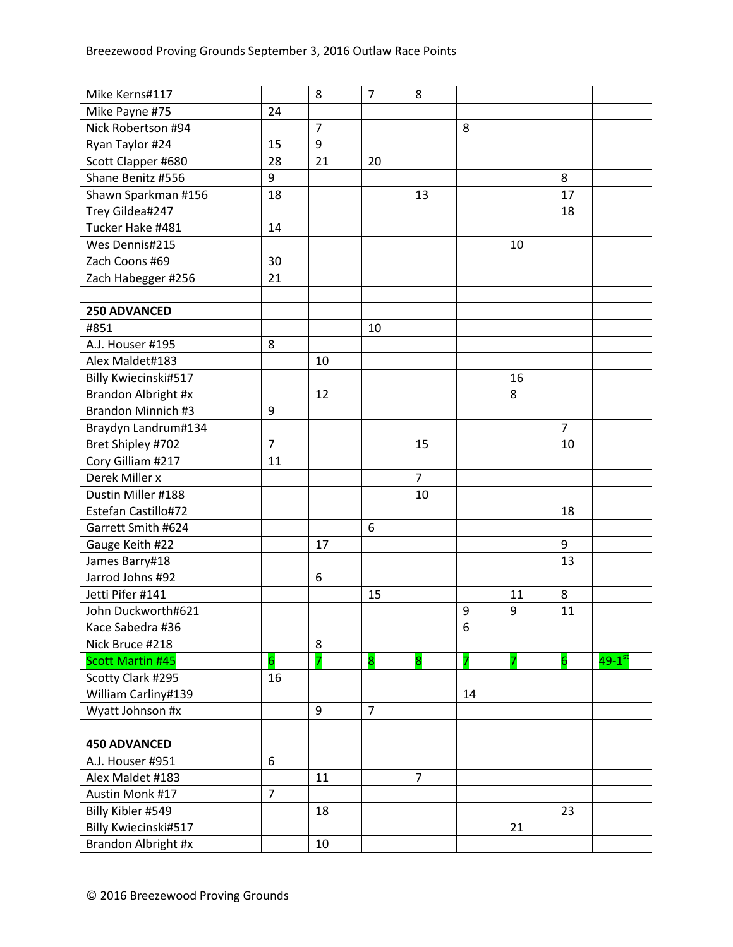| Mike Kerns#117                                   |                 | 8              | $\overline{7}$ | 8              |    |    |                |                      |
|--------------------------------------------------|-----------------|----------------|----------------|----------------|----|----|----------------|----------------------|
| Mike Payne #75                                   | 24              |                |                |                |    |    |                |                      |
| Nick Robertson #94                               |                 | $\overline{7}$ |                |                | 8  |    |                |                      |
| Ryan Taylor #24                                  | 15              | 9              |                |                |    |    |                |                      |
| Scott Clapper #680                               | 28              | 21             | 20             |                |    |    |                |                      |
| Shane Benitz #556                                | 9               |                |                |                |    |    | 8              |                      |
|                                                  | 18              |                |                | 13             |    |    | 17             |                      |
| Shawn Sparkman #156<br>Trey Gildea#247           |                 |                |                |                |    |    | 18             |                      |
| Tucker Hake #481                                 | 14              |                |                |                |    |    |                |                      |
| Wes Dennis#215                                   |                 |                |                |                |    | 10 |                |                      |
| Zach Coons #69                                   | 30              |                |                |                |    |    |                |                      |
|                                                  | 21              |                |                |                |    |    |                |                      |
| Zach Habegger #256                               |                 |                |                |                |    |    |                |                      |
| 250 ADVANCED                                     |                 |                |                |                |    |    |                |                      |
| #851                                             |                 |                | 10             |                |    |    |                |                      |
| A.J. Houser #195                                 | 8               |                |                |                |    |    |                |                      |
| Alex Maldet#183                                  |                 | 10             |                |                |    |    |                |                      |
| Billy Kwiecinski#517                             |                 |                |                |                |    | 16 |                |                      |
|                                                  |                 | 12             |                |                |    | 8  |                |                      |
| Brandon Albright #x<br><b>Brandon Minnich #3</b> | 9               |                |                |                |    |    |                |                      |
|                                                  |                 |                |                |                |    |    |                |                      |
| Braydyn Landrum#134                              |                 |                |                |                |    |    | $\overline{7}$ |                      |
| Bret Shipley #702                                | $\overline{7}$  |                |                | 15             |    |    | 10             |                      |
| Cory Gilliam #217                                | 11              |                |                |                |    |    |                |                      |
| Derek Miller x                                   |                 |                |                | $\overline{7}$ |    |    |                |                      |
| Dustin Miller #188                               |                 |                |                | 10             |    |    |                |                      |
| Estefan Castillo#72                              |                 |                |                |                |    |    | 18             |                      |
| Garrett Smith #624                               |                 |                | 6              |                |    |    |                |                      |
| Gauge Keith #22                                  |                 | 17             |                |                |    |    | 9              |                      |
| James Barry#18                                   |                 |                |                |                |    |    | 13             |                      |
| Jarrod Johns #92                                 |                 | 6              |                |                |    |    |                |                      |
| Jetti Pifer #141                                 |                 |                | 15             |                |    | 11 | 8              |                      |
| John Duckworth#621                               |                 |                |                |                | 9  | 9  | 11             |                      |
| Kace Sabedra #36                                 |                 |                |                |                | 6  |    |                |                      |
| Nick Bruce #218                                  |                 | 8              |                |                |    |    |                |                      |
| <b>Scott Martin #45</b>                          | $6\overline{6}$ | 7              | 8              | 8              | 7  | 7  | $\overline{6}$ | $49-1$ <sup>st</sup> |
| Scotty Clark #295                                | 16              |                |                |                |    |    |                |                      |
| William Carliny#139                              |                 |                |                |                | 14 |    |                |                      |
| Wyatt Johnson #x                                 |                 | 9              | $\overline{7}$ |                |    |    |                |                      |
|                                                  |                 |                |                |                |    |    |                |                      |
| <b>450 ADVANCED</b>                              |                 |                |                |                |    |    |                |                      |
| A.J. Houser #951                                 | 6               |                |                |                |    |    |                |                      |
| Alex Maldet #183                                 |                 | 11             |                | $\overline{7}$ |    |    |                |                      |
| Austin Monk #17                                  | $\overline{7}$  |                |                |                |    |    |                |                      |
| Billy Kibler #549                                |                 | 18             |                |                |    |    | 23             |                      |
| Billy Kwiecinski#517                             |                 |                |                |                |    | 21 |                |                      |
| Brandon Albright #x                              |                 | 10             |                |                |    |    |                |                      |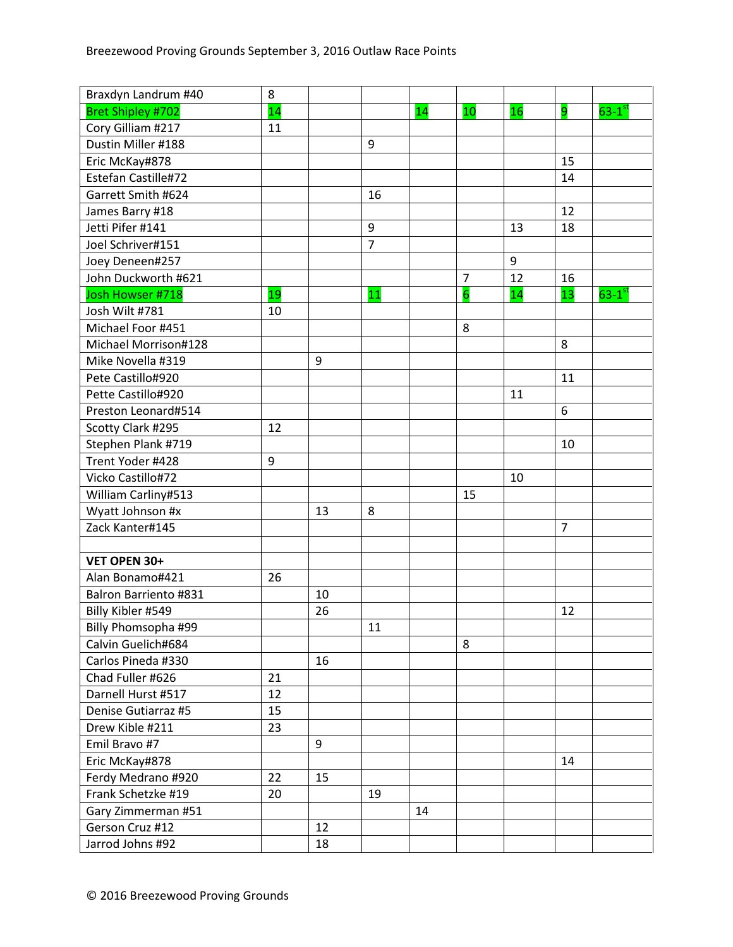| Braxdyn Landrum #40          | 8  |    |                |    |                |    |                |                      |
|------------------------------|----|----|----------------|----|----------------|----|----------------|----------------------|
| <b>Bret Shipley #702</b>     | 14 |    |                | 14 | 10             | 16 | 9              | $63-1$ <sup>st</sup> |
| Cory Gilliam #217            | 11 |    |                |    |                |    |                |                      |
| Dustin Miller #188           |    |    | 9              |    |                |    |                |                      |
| Eric McKay#878               |    |    |                |    |                |    | 15             |                      |
| Estefan Castille#72          |    |    |                |    |                |    | 14             |                      |
| Garrett Smith #624           |    |    | 16             |    |                |    |                |                      |
| James Barry #18              |    |    |                |    |                |    | 12             |                      |
| Jetti Pifer #141             |    |    | 9              |    |                | 13 | 18             |                      |
| Joel Schriver#151            |    |    | $\overline{7}$ |    |                |    |                |                      |
| Joey Deneen#257              |    |    |                |    |                | 9  |                |                      |
| John Duckworth #621          |    |    |                |    | $\overline{7}$ | 12 | 16             |                      |
| Josh Howser #718             | 19 |    | 11             |    | $\overline{6}$ | 14 | 13             | $63-1$ <sup>st</sup> |
| Josh Wilt #781               | 10 |    |                |    |                |    |                |                      |
| Michael Foor #451            |    |    |                |    | 8              |    |                |                      |
| Michael Morrison#128         |    |    |                |    |                |    | 8              |                      |
| Mike Novella #319            |    | 9  |                |    |                |    |                |                      |
| Pete Castillo#920            |    |    |                |    |                |    | 11             |                      |
| Pette Castillo#920           |    |    |                |    |                | 11 |                |                      |
| Preston Leonard#514          |    |    |                |    |                |    | 6              |                      |
| Scotty Clark #295            | 12 |    |                |    |                |    |                |                      |
| Stephen Plank #719           |    |    |                |    |                |    | 10             |                      |
| Trent Yoder #428             | 9  |    |                |    |                |    |                |                      |
| Vicko Castillo#72            |    |    |                |    |                | 10 |                |                      |
| William Carliny#513          |    |    |                |    | 15             |    |                |                      |
| Wyatt Johnson #x             |    | 13 | 8              |    |                |    |                |                      |
| Zack Kanter#145              |    |    |                |    |                |    | $\overline{7}$ |                      |
|                              |    |    |                |    |                |    |                |                      |
| VET OPEN 30+                 |    |    |                |    |                |    |                |                      |
| Alan Bonamo#421              | 26 |    |                |    |                |    |                |                      |
| <b>Balron Barriento #831</b> |    | 10 |                |    |                |    |                |                      |
| Billy Kibler #549            |    | 26 |                |    |                |    | 12             |                      |
| Billy Phomsopha #99          |    |    | 11             |    |                |    |                |                      |
| Calvin Guelich#684           |    |    |                |    | 8              |    |                |                      |
| Carlos Pineda #330           |    | 16 |                |    |                |    |                |                      |
| Chad Fuller #626             | 21 |    |                |    |                |    |                |                      |
| Darnell Hurst #517           | 12 |    |                |    |                |    |                |                      |
| Denise Gutiarraz #5          | 15 |    |                |    |                |    |                |                      |
| Drew Kible #211              | 23 |    |                |    |                |    |                |                      |
| Emil Bravo #7                |    | 9  |                |    |                |    |                |                      |
| Eric McKay#878               |    |    |                |    |                |    | 14             |                      |
| Ferdy Medrano #920           | 22 | 15 |                |    |                |    |                |                      |
| Frank Schetzke #19           | 20 |    | 19             |    |                |    |                |                      |
| Gary Zimmerman #51           |    |    |                | 14 |                |    |                |                      |
| Gerson Cruz #12              |    | 12 |                |    |                |    |                |                      |
| Jarrod Johns #92             |    | 18 |                |    |                |    |                |                      |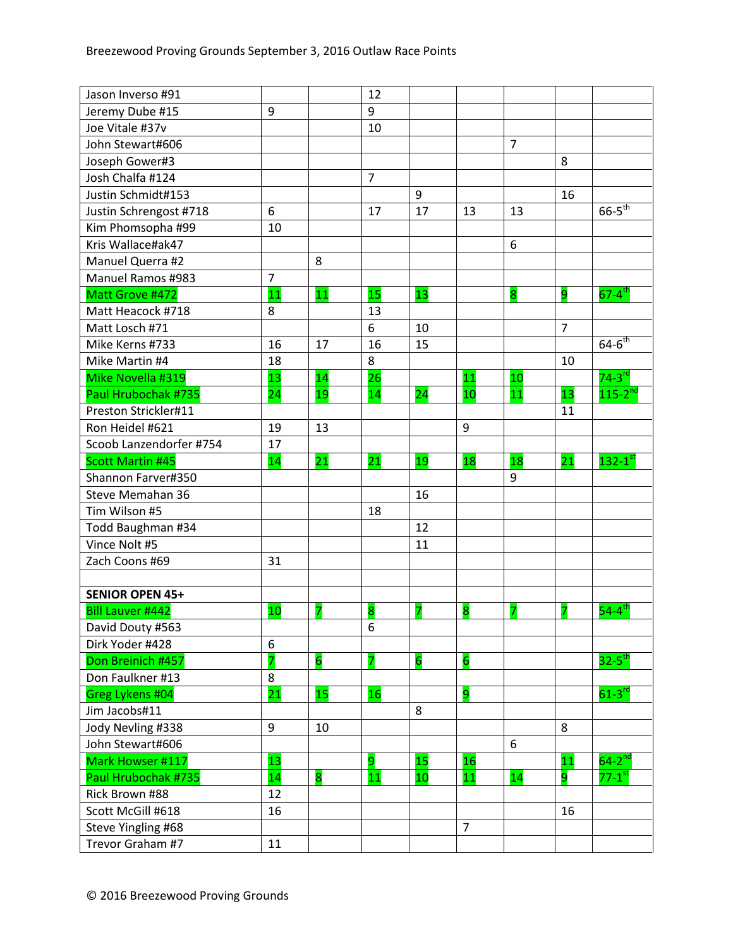| Jason Inverso #91        |                |                | 12             |                |                |                |                |                        |
|--------------------------|----------------|----------------|----------------|----------------|----------------|----------------|----------------|------------------------|
| Jeremy Dube #15          | 9              |                | 9              |                |                |                |                |                        |
| Joe Vitale #37v          |                |                | 10             |                |                |                |                |                        |
| John Stewart#606         |                |                |                |                |                | $\overline{7}$ |                |                        |
| Joseph Gower#3           |                |                |                |                |                |                | 8              |                        |
| Josh Chalfa #124         |                |                | $\overline{7}$ |                |                |                |                |                        |
| Justin Schmidt#153       |                |                |                | 9              |                |                | 16             |                        |
| Justin Schrengost #718   | 6              |                | 17             | 17             | 13             | 13             |                | $66 - 5$ <sup>th</sup> |
| Kim Phomsopha #99        | 10             |                |                |                |                |                |                |                        |
| Kris Wallace#ak47        |                |                |                |                |                | 6              |                |                        |
| Manuel Querra #2         |                | 8              |                |                |                |                |                |                        |
| <b>Manuel Ramos #983</b> | $\overline{7}$ |                |                |                |                |                |                |                        |
| Matt Grove #472          | 11             | 11             | 15             | 13             |                | 8              | 9              | $67 - 4$ <sup>th</sup> |
| Matt Heacock #718        | 8              |                | 13             |                |                |                |                |                        |
| Matt Losch #71           |                |                | 6              | 10             |                |                | $\overline{7}$ |                        |
| Mike Kerns #733          | 16             | 17             | 16             | 15             |                |                |                | $64-6$ <sup>th</sup>   |
| Mike Martin #4           | 18             |                | 8              |                |                |                | 10             |                        |
| Mike Novella #319        | 13             | 14             | 26             |                | 11             | 10             |                | $74-3$ <sup>rd</sup>   |
| Paul Hrubochak #735      | 24             | 19             | 14             | 24             | 10             | 11             | 13             | $115 - 2^{nd}$         |
| Preston Strickler#11     |                |                |                |                |                |                | 11             |                        |
| Ron Heidel #621          | 19             | 13             |                |                | 9              |                |                |                        |
| Scoob Lanzendorfer #754  | 17             |                |                |                |                |                |                |                        |
| <b>Scott Martin #45</b>  | 14             | 21             | 21             | 19             | 18             | 18             | 21             | $132-1$ <sup>st</sup>  |
| Shannon Farver#350       |                |                |                |                |                | 9              |                |                        |
| Steve Memahan 36         |                |                |                | 16             |                |                |                |                        |
| Tim Wilson #5            |                |                | 18             |                |                |                |                |                        |
| Todd Baughman #34        |                |                |                | 12             |                |                |                |                        |
| Vince Nolt #5            |                |                |                | 11             |                |                |                |                        |
| Zach Coons #69           | 31             |                |                |                |                |                |                |                        |
|                          |                |                |                |                |                |                |                |                        |
| <b>SENIOR OPEN 45+</b>   |                |                |                |                |                |                |                |                        |
| <b>Bill Lauver #442</b>  | 10             |                | 8              | 7              | 8              | 7              |                | $54-4$ <sup>th</sup>   |
| David Douty #563         |                |                | 6              |                |                |                |                |                        |
| Dirk Yoder #428          | 6              |                |                |                |                |                |                |                        |
| Don Breinich #457        | 7              | $\overline{6}$ | 7              | $\overline{6}$ | $\overline{6}$ |                |                | $32 - 5$ <sup>th</sup> |
| Don Faulkner #13         | 8              |                |                |                |                |                |                |                        |
| Greg Lykens #04          | 21             | 15             | 16             |                | 9              |                |                | $61-3$ <sup>rd</sup>   |
| Jim Jacobs#11            |                |                |                | 8              |                |                |                |                        |
| Jody Nevling #338        | 9              | 10             |                |                |                |                | 8              |                        |
| John Stewart#606         |                |                |                |                |                | 6              |                |                        |
| Mark Howser #117         | 13             |                | 9              | 15             | <b>16</b>      |                | <b>11</b>      | $64-2$ <sup>nd</sup>   |
| Paul Hrubochak #735      | 14             | 8              | 11             | 10             | 11             | 14             | 9              | $77 - 1$ <sup>st</sup> |
| Rick Brown #88           | 12             |                |                |                |                |                |                |                        |
| Scott McGill #618        | 16             |                |                |                |                |                | 16             |                        |
| Steve Yingling #68       |                |                |                |                | $\overline{7}$ |                |                |                        |
| Trevor Graham #7         | 11             |                |                |                |                |                |                |                        |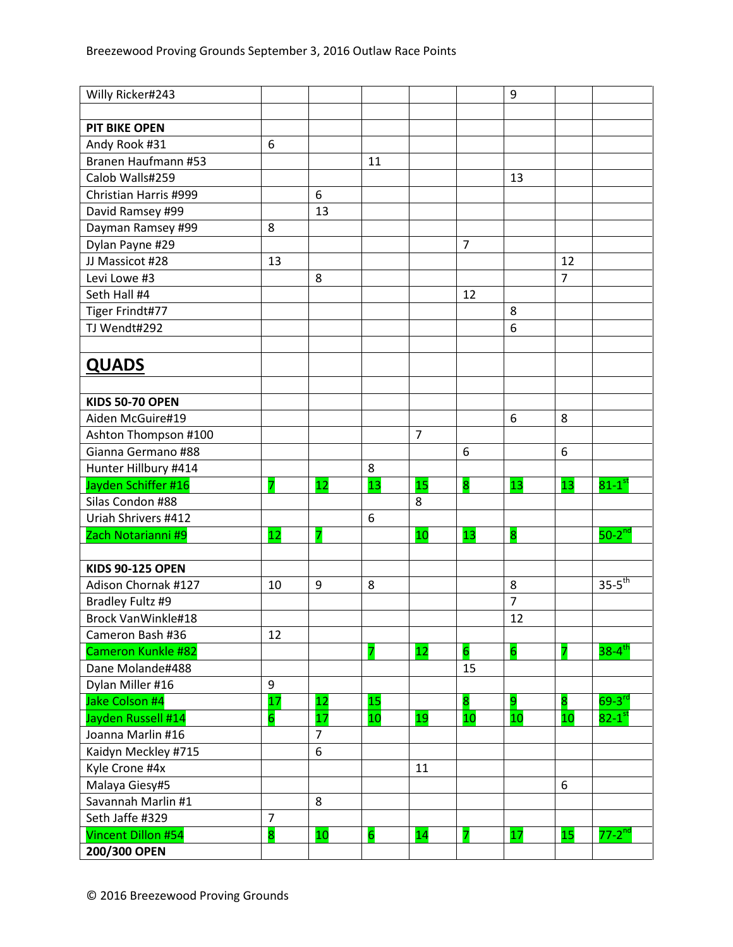| Willy Ricker#243                            |                |                |                         |                |                | 9               |                 |                        |
|---------------------------------------------|----------------|----------------|-------------------------|----------------|----------------|-----------------|-----------------|------------------------|
|                                             |                |                |                         |                |                |                 |                 |                        |
| <b>PIT BIKE OPEN</b>                        |                |                |                         |                |                |                 |                 |                        |
| Andy Rook #31                               | 6              |                |                         |                |                |                 |                 |                        |
| Branen Haufmann #53                         |                |                | 11                      |                |                |                 |                 |                        |
| Calob Walls#259                             |                |                |                         |                |                | 13              |                 |                        |
| Christian Harris #999                       |                | 6              |                         |                |                |                 |                 |                        |
| David Ramsey #99                            |                | 13             |                         |                |                |                 |                 |                        |
| Dayman Ramsey #99                           | 8              |                |                         |                |                |                 |                 |                        |
| Dylan Payne #29                             |                |                |                         |                | $\overline{7}$ |                 |                 |                        |
| JJ Massicot #28                             | 13             |                |                         |                |                |                 | 12              |                        |
| Levi Lowe #3                                |                | 8              |                         |                |                |                 | $\overline{7}$  |                        |
| Seth Hall #4                                |                |                |                         |                | 12             |                 |                 |                        |
| Tiger Frindt#77                             |                |                |                         |                |                | 8               |                 |                        |
| TJ Wendt#292                                |                |                |                         |                |                | 6               |                 |                        |
|                                             |                |                |                         |                |                |                 |                 |                        |
| <b>QUADS</b>                                |                |                |                         |                |                |                 |                 |                        |
|                                             |                |                |                         |                |                |                 |                 |                        |
| <b>KIDS 50-70 OPEN</b>                      |                |                |                         |                |                |                 |                 |                        |
| Aiden McGuire#19                            |                |                |                         |                |                | 6               | 8               |                        |
|                                             |                |                |                         | $\overline{7}$ |                |                 |                 |                        |
| Ashton Thompson #100<br>Gianna Germano #88  |                |                |                         |                | 6              |                 | 6               |                        |
|                                             |                |                | 8                       |                |                |                 |                 |                        |
| Hunter Hillbury #414<br>Jayden Schiffer #16 |                | 12             | 13                      | 15             | 8              | 13              | 13              | $81-1^\text{st}$       |
| Silas Condon #88                            | 7              |                |                         |                |                |                 |                 |                        |
| Uriah Shrivers #412                         |                |                | 6                       | 8              |                |                 |                 |                        |
|                                             | 12             |                |                         | 10             | 13             | 8               |                 | $50-2$ <sup>nd</sup>   |
| Zach Notarianni #9                          |                |                |                         |                |                |                 |                 |                        |
| <b>KIDS 90-125 OPEN</b>                     |                |                |                         |                |                |                 |                 |                        |
| Adison Chornak #127                         | 10             | 9              | 8                       |                |                | 8               |                 | $35-5$ <sup>th</sup>   |
| Bradley Fultz #9                            |                |                |                         |                |                | $\overline{7}$  |                 |                        |
| Brock VanWinkle#18                          |                |                |                         |                |                | 12              |                 |                        |
| Cameron Bash #36                            | 12             |                |                         |                |                |                 |                 |                        |
| Cameron Kunkle #82                          |                |                | $\overline{\mathbf{z}}$ | 12             | $\overline{6}$ | $6\overline{6}$ |                 | $38 - 4$ <sup>th</sup> |
| Dane Molande#488                            |                |                |                         |                | 15             |                 |                 |                        |
| Dylan Miller #16                            | 9              |                |                         |                |                |                 |                 |                        |
| Jake Colson #4                              | 17             | 12             | 15                      |                | 8              | $\overline{9}$  | 8               | $69-3$ <sup>rd</sup>   |
| Jayden Russell #14                          | 6              | 17             | 10                      | 19             | 10             | 10              | 10              | $82-1$ <sup>st</sup>   |
| Joanna Marlin #16                           |                | $\overline{7}$ |                         |                |                |                 |                 |                        |
| Kaidyn Meckley #715                         |                | 6              |                         |                |                |                 |                 |                        |
| Kyle Crone #4x                              |                |                |                         | 11             |                |                 |                 |                        |
| Malaya Giesy#5                              |                |                |                         |                |                |                 | 6               |                        |
| Savannah Marlin #1                          |                | 8              |                         |                |                |                 |                 |                        |
| Seth Jaffe #329                             | $\overline{7}$ |                |                         |                |                |                 |                 |                        |
| <b>Vincent Dillon #54</b>                   | 8              | 10             | 6                       | 14             | 7              | 17              | 15 <sub>1</sub> | $77-2$ <sup>nd</sup>   |
| 200/300 OPEN                                |                |                |                         |                |                |                 |                 |                        |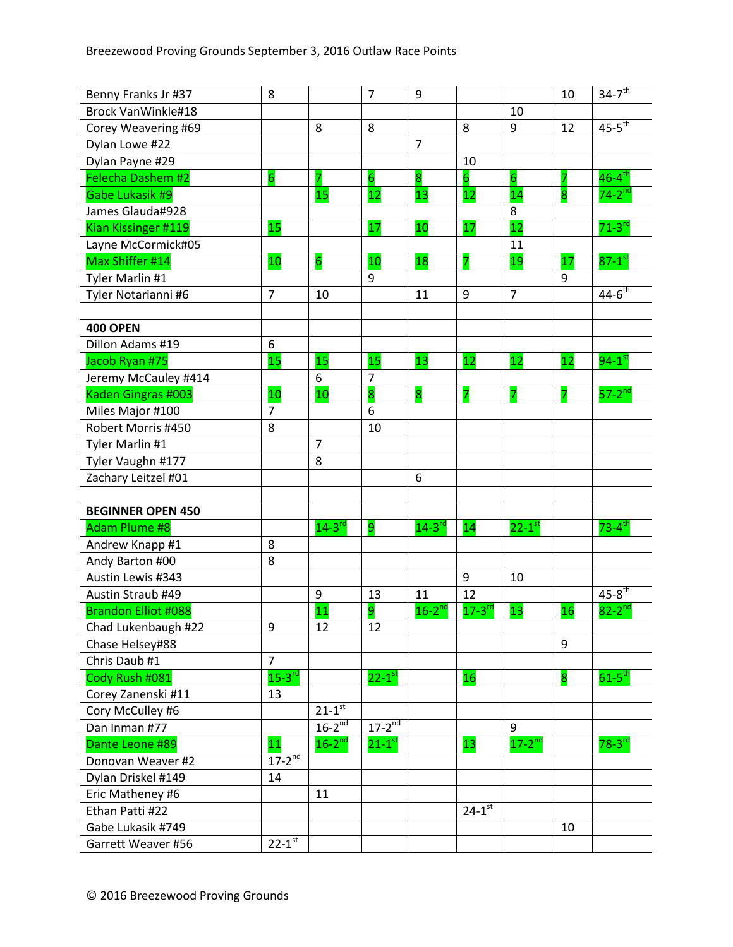| Benny Franks Jr #37        | 8                    |                      | $\overline{7}$         | 9                    |                        |                      | 10 | $34 - 7$ <sup>th</sup> |
|----------------------------|----------------------|----------------------|------------------------|----------------------|------------------------|----------------------|----|------------------------|
| <b>Brock VanWinkle#18</b>  |                      |                      |                        |                      |                        | 10                   |    |                        |
| Corey Weavering #69        |                      | 8                    | 8                      |                      | 8                      | $\boldsymbol{9}$     | 12 | $45-5$ <sup>th</sup>   |
| Dylan Lowe #22             |                      |                      |                        | $\overline{7}$       |                        |                      |    |                        |
| Dylan Payne #29            |                      |                      |                        |                      | 10                     |                      |    |                        |
| Felecha Dashem #2          | $6\overline{6}$      | 7                    | $6 \overline{6}$       | 8                    | $6\overline{6}$        | $6\overline{6}$      | 7  | $46 - 4$ <sup>th</sup> |
| Gabe Lukasik #9            |                      | 15                   | 12                     | 13                   | 12                     | 14                   | 8  | $74-2$ <sup>nd</sup>   |
| James Glauda#928           |                      |                      |                        |                      |                        | 8                    |    |                        |
| Kian Kissinger #119        | 15                   |                      | 17                     | 10                   | 17                     | 12                   |    | $71-3$ <sup>rd</sup>   |
| Layne McCormick#05         |                      |                      |                        |                      |                        | 11                   |    |                        |
| Max Shiffer #14            | 10                   | $\overline{6}$       | 10                     | 18                   | 7                      | 19                   | 17 | $87-1$ <sup>st</sup>   |
| Tyler Marlin #1            |                      |                      | 9                      |                      |                        |                      | 9  |                        |
| Tyler Notarianni #6        | $\overline{7}$       | 10                   |                        | 11                   | 9                      | $\overline{7}$       |    | $44 - 6$ <sup>th</sup> |
|                            |                      |                      |                        |                      |                        |                      |    |                        |
| <b>400 OPEN</b>            |                      |                      |                        |                      |                        |                      |    |                        |
| Dillon Adams #19           | 6                    |                      |                        |                      |                        |                      |    |                        |
| Jacob Ryan #75             | 15                   | 15                   | 15                     | 13                   | 12                     | 12                   | 12 | $94-1$ <sup>st</sup>   |
| Jeremy McCauley #414       |                      | 6                    | $\overline{7}$         |                      |                        |                      |    |                        |
| Kaden Gingras #003         | 10                   | 10                   | 8                      | 8                    | 7                      | 7                    | 7  | $57-2$ <sup>nd</sup>   |
| Miles Major #100           | $\overline{7}$       |                      | 6                      |                      |                        |                      |    |                        |
| Robert Morris #450         | 8                    |                      | 10                     |                      |                        |                      |    |                        |
| Tyler Marlin #1            |                      | $\overline{7}$       |                        |                      |                        |                      |    |                        |
| Tyler Vaughn #177          |                      | 8                    |                        |                      |                        |                      |    |                        |
| Zachary Leitzel #01        |                      |                      |                        | 6                    |                        |                      |    |                        |
|                            |                      |                      |                        |                      |                        |                      |    |                        |
| <b>BEGINNER OPEN 450</b>   |                      |                      |                        |                      |                        |                      |    |                        |
| <b>Adam Plume #8</b>       |                      | $14-3$ <sup>rd</sup> | 9                      | $14-3$ <sup>rd</sup> | 14                     | $22-1$ <sup>st</sup> |    | $73 - 4^{\text{th}}$   |
| Andrew Knapp #1            | 8                    |                      |                        |                      |                        |                      |    |                        |
| Andy Barton #00            | 8                    |                      |                        |                      |                        |                      |    |                        |
| Austin Lewis #343          |                      |                      |                        |                      | 9                      | 10                   |    |                        |
| Austin Straub #49          |                      | 9                    | 13                     | 11                   | 12                     |                      |    | $45 - 8$ <sup>th</sup> |
| <b>Brandon Elliot #088</b> |                      | 11                   | 9                      | $16-2^{nd}$          | $17-3$ <sup>rd</sup>   | 13                   | 16 | $82-2^{nd}$            |
| Chad Lukenbaugh #22        | 9                    | 12                   | 12                     |                      |                        |                      |    |                        |
| Chase Helsey#88            |                      |                      |                        |                      |                        |                      | 9  |                        |
| Chris Daub #1              | $\overline{7}$       |                      |                        |                      |                        |                      |    |                        |
| Cody Rush #081             | $15-3$ <sup>rd</sup> |                      | $22 - 1$ <sup>st</sup> |                      | 16                     |                      | 8  | $61-5^{\text{th}}$     |
| Corey Zanenski #11         | 13                   |                      |                        |                      |                        |                      |    |                        |
| Cory McCulley #6           |                      | $21-1$ <sup>st</sup> |                        |                      |                        |                      |    |                        |
| Dan Inman #77              |                      | $16-2^{nd}$          | $17-2^{nd}$            |                      |                        | 9                    |    |                        |
| Dante Leone #89            | 11                   | $16-2^{nd}$          | $21-1$ <sup>st</sup>   |                      | 13                     | $17-2^{nd}$          |    | $78-3$ <sup>rd</sup>   |
| Donovan Weaver #2          | $17 - 2^{nd}$        |                      |                        |                      |                        |                      |    |                        |
| Dylan Driskel #149         | 14                   |                      |                        |                      |                        |                      |    |                        |
| Eric Matheney #6           |                      | 11                   |                        |                      |                        |                      |    |                        |
| Ethan Patti #22            |                      |                      |                        |                      | $24 - 1$ <sup>st</sup> |                      |    |                        |
| Gabe Lukasik #749          |                      |                      |                        |                      |                        |                      | 10 |                        |
| Garrett Weaver #56         | $22 - 1^{st}$        |                      |                        |                      |                        |                      |    |                        |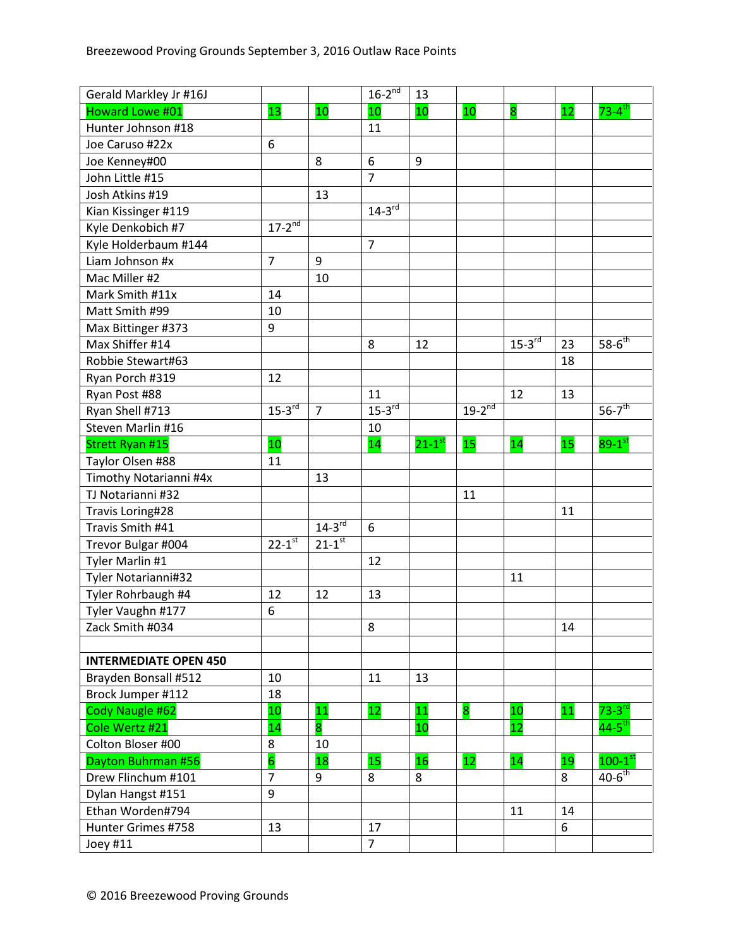| Gerald Markley Jr #16J       |                |                | $16-2^{nd}$          | 13                   |             |             |    |                        |
|------------------------------|----------------|----------------|----------------------|----------------------|-------------|-------------|----|------------------------|
| Howard Lowe #01              | 13             | 10             | 10                   | 10                   | 10          | 8           | 12 | $73 - 4$ <sup>th</sup> |
| Hunter Johnson #18           |                |                | 11                   |                      |             |             |    |                        |
| Joe Caruso #22x              | 6              |                |                      |                      |             |             |    |                        |
| Joe Kenney#00                |                | 8              | 6                    | 9                    |             |             |    |                        |
| John Little #15              |                |                | $\overline{7}$       |                      |             |             |    |                        |
| Josh Atkins #19              |                | 13             |                      |                      |             |             |    |                        |
| Kian Kissinger #119          |                |                | $14-3$ <sup>rd</sup> |                      |             |             |    |                        |
| Kyle Denkobich #7            | $17 - 2^{nd}$  |                |                      |                      |             |             |    |                        |
| Kyle Holderbaum #144         |                |                | $\overline{7}$       |                      |             |             |    |                        |
| Liam Johnson #x              | $\overline{7}$ | 9              |                      |                      |             |             |    |                        |
| Mac Miller #2                |                | 10             |                      |                      |             |             |    |                        |
| Mark Smith #11x              | 14             |                |                      |                      |             |             |    |                        |
| Matt Smith #99               | 10             |                |                      |                      |             |             |    |                        |
| Max Bittinger #373           | 9              |                |                      |                      |             |             |    |                        |
| Max Shiffer #14              |                |                | 8                    | 12                   |             | $15-3^{rd}$ | 23 | $58 - 6^{th}$          |
| Robbie Stewart#63            |                |                |                      |                      |             |             | 18 |                        |
| Ryan Porch #319              | 12             |                |                      |                      |             |             |    |                        |
| Ryan Post #88                |                |                | 11                   |                      |             | 12          | 13 |                        |
| Ryan Shell #713              | $15-3^{rd}$    | $\overline{7}$ | $15-3^{rd}$          |                      | $19-2^{nd}$ |             |    | $56 - 7$ <sup>th</sup> |
| Steven Marlin #16            |                |                | 10                   |                      |             |             |    |                        |
| <b>Strett Ryan #15</b>       | 10             |                | 14                   | $21-1$ <sup>st</sup> | 15          | 14          | 15 | $89-1^\text{st}$       |
| Taylor Olsen #88             | 11             |                |                      |                      |             |             |    |                        |
| Timothy Notarianni #4x       |                | 13             |                      |                      |             |             |    |                        |
| TJ Notarianni #32            |                |                |                      |                      | 11          |             |    |                        |
| Travis Loring#28             |                |                |                      |                      |             |             | 11 |                        |
| Travis Smith #41             |                | $14-3$ rd      | 6                    |                      |             |             |    |                        |
| Trevor Bulgar #004           | $22 - 1^{st}$  | $21 - 1^{st}$  |                      |                      |             |             |    |                        |
| Tyler Marlin #1              |                |                | 12                   |                      |             |             |    |                        |
| Tyler Notarianni#32          |                |                |                      |                      |             | 11          |    |                        |
| Tyler Rohrbaugh #4           | 12             | 12             | 13                   |                      |             |             |    |                        |
| Tyler Vaughn #177            | 6              |                |                      |                      |             |             |    |                        |
| Zack Smith #034              |                |                | 8                    |                      |             |             | 14 |                        |
|                              |                |                |                      |                      |             |             |    |                        |
| <b>INTERMEDIATE OPEN 450</b> |                |                |                      |                      |             |             |    |                        |
| Brayden Bonsall #512         | 10             |                | 11                   | 13                   |             |             |    |                        |
| Brock Jumper #112            | 18             |                |                      |                      |             |             |    |                        |
| Cody Naugle #62              | 10             | 11             | 12                   | 11                   | 8           | 10          | 11 | $73-3$ <sup>rd</sup>   |
| Cole Wertz #21               | 14             | 8              |                      | 10                   |             | 12          |    | $44-5$ <sup>th</sup>   |
| Colton Bloser #00            | 8              | 10             |                      |                      |             |             |    |                        |
| Dayton Buhrman #56           | 6              | 18             | 15                   | 16                   | 12          | 14          | 19 | $100-1^\mathrm{st}$    |
| Drew Flinchum #101           | $\overline{7}$ | 9              | 8                    | 8                    |             |             | 8  | $40-6$ <sup>th</sup>   |
| Dylan Hangst #151            | 9              |                |                      |                      |             |             |    |                        |
| Ethan Worden#794             |                |                |                      |                      |             | 11          | 14 |                        |
| Hunter Grimes #758           | 13             |                | 17                   |                      |             |             | 6  |                        |
| Joey #11                     |                |                | $\overline{7}$       |                      |             |             |    |                        |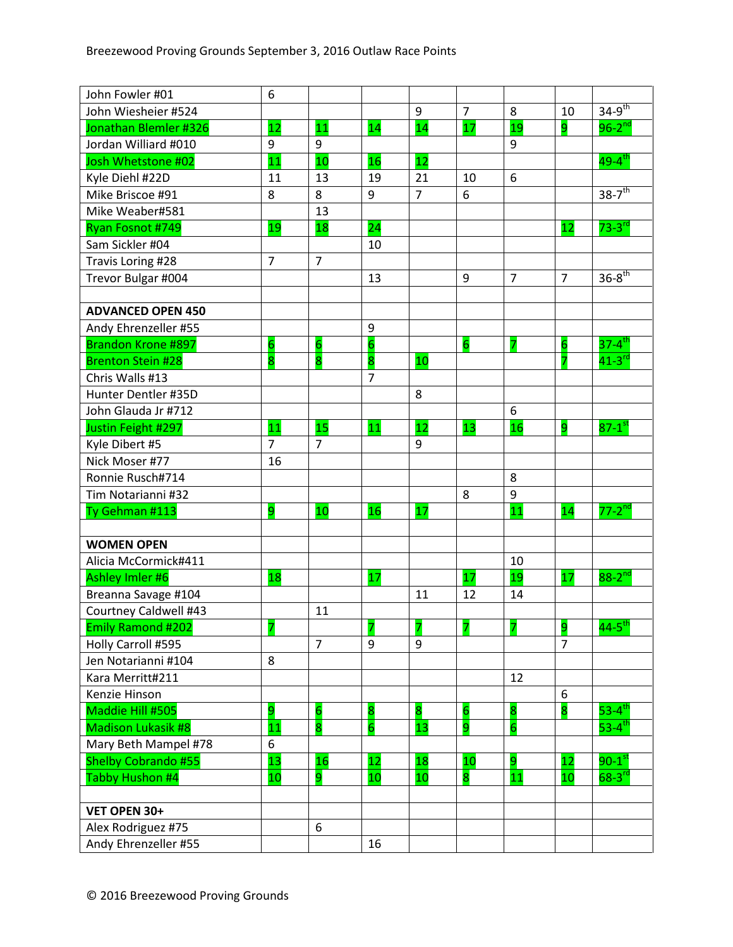| John Fowler #01           | 6               |                 |                         |                |                 |                |                |                        |
|---------------------------|-----------------|-----------------|-------------------------|----------------|-----------------|----------------|----------------|------------------------|
| John Wiesheier #524       |                 |                 |                         | 9              | $\overline{7}$  | 8              | 10             | $34 - 9^{th}$          |
| Jonathan Blemler #326     | 12              | 11              | 14                      | 14             | 17              | 19             | 9              | $96-2^{nd}$            |
| Jordan Williard #010      | 9               | 9               |                         |                |                 | 9              |                |                        |
| Josh Whetstone #02        | 11              | 10              | 16                      | 12             |                 |                |                | $49 - 4$ <sup>th</sup> |
| Kyle Diehl #22D           | 11              | 13              | 19                      | 21             | 10              | 6              |                |                        |
| Mike Briscoe #91          | 8               | 8               | 9                       | $\overline{7}$ | 6               |                |                | $38-7$ <sup>th</sup>   |
| Mike Weaber#581           |                 | 13              |                         |                |                 |                |                |                        |
| Ryan Fosnot #749          | 19              | 18              | 24                      |                |                 |                | 12             | $73-3$ <sup>rd</sup>   |
| Sam Sickler #04           |                 |                 | 10                      |                |                 |                |                |                        |
| Travis Loring #28         | $\overline{7}$  | $\overline{7}$  |                         |                |                 |                |                |                        |
| Trevor Bulgar #004        |                 |                 | 13                      |                | 9               | $\overline{7}$ | $\overline{7}$ | $36 - 8$ <sup>th</sup> |
|                           |                 |                 |                         |                |                 |                |                |                        |
| <b>ADVANCED OPEN 450</b>  |                 |                 |                         |                |                 |                |                |                        |
| Andy Ehrenzeller #55      |                 |                 | 9                       |                |                 |                |                |                        |
| <b>Brandon Krone #897</b> | $6\overline{6}$ | 6               | $\overline{\mathbf{6}}$ |                | $6\overline{6}$ | 7              | 6              | $37 - 4$ <sup>th</sup> |
| <b>Brenton Stein #28</b>  | 8               | 8               | 8                       | 10             |                 |                | 7              | $41-3$ <sup>rd</sup>   |
| Chris Walls #13           |                 |                 | $\overline{7}$          |                |                 |                |                |                        |
| Hunter Dentler #35D       |                 |                 |                         | 8              |                 |                |                |                        |
| John Glauda Jr #712       |                 |                 |                         |                |                 | 6              |                |                        |
| Justin Feight #297        | 11              | 15              | 11                      | 12             | 13              | 16             | 9              | $87-1$ <sup>st</sup>   |
| Kyle Dibert #5            | $\overline{7}$  | $\overline{7}$  |                         | 9              |                 |                |                |                        |
| Nick Moser #77            | 16              |                 |                         |                |                 |                |                |                        |
| Ronnie Rusch#714          |                 |                 |                         |                |                 | 8              |                |                        |
| Tim Notarianni #32        |                 |                 |                         |                | 8               | 9              |                |                        |
| Ty Gehman #113            | 9               | 10              | 16                      | 17             |                 | 11             | 14             | $77-2^{nd}$            |
|                           |                 |                 |                         |                |                 |                |                |                        |
| <b>WOMEN OPEN</b>         |                 |                 |                         |                |                 |                |                |                        |
| Alicia McCormick#411      |                 |                 |                         |                |                 | 10             |                |                        |
| Ashley Imler #6           | 18              |                 | 17                      |                | 17              | 19             | 17             | $88 - 2^{nd}$          |
| Breanna Savage #104       |                 |                 |                         | 11             | 12              | 14             |                |                        |
| Courtney Caldwell #43     |                 | 11              |                         |                |                 |                |                |                        |
| <b>Emily Ramond #202</b>  | 7               |                 | 7                       | 7              | 7               | 7              | 9              | $44-5$ <sup>th</sup>   |
| Holly Carroll #595        |                 | $\overline{7}$  | 9                       | 9              |                 |                | $\overline{7}$ |                        |
| Jen Notarianni #104       | 8               |                 |                         |                |                 |                |                |                        |
| Kara Merritt#211          |                 |                 |                         |                |                 | 12             |                |                        |
| Kenzie Hinson             |                 |                 |                         |                |                 |                | 6              |                        |
| Maddie Hill #505          | 9               | $6\overline{6}$ | 8                       | 8              | $6\overline{6}$ | 8              | 8              | $53 - 4$ <sup>th</sup> |
| <b>Madison Lukasik #8</b> | 11              | 8               | $\overline{6}$          | 13             | 9               | 6              |                | 53-4 $\overline{h}$    |
| Mary Beth Mampel #78      | 6               |                 |                         |                |                 |                |                |                        |
| Shelby Cobrando #55       | 13              | 16              | 12                      | 18             | 10              | 9              | 12             | $90-1^\mathrm{st}$     |
| Tabby Hushon #4           | 10              | 9               | 10                      | 10             | 8               | 11             | 10             | $68-3^{rd}$            |
|                           |                 |                 |                         |                |                 |                |                |                        |
| VET OPEN 30+              |                 |                 |                         |                |                 |                |                |                        |
| Alex Rodriguez #75        |                 | 6               |                         |                |                 |                |                |                        |
| Andy Ehrenzeller #55      |                 |                 | 16                      |                |                 |                |                |                        |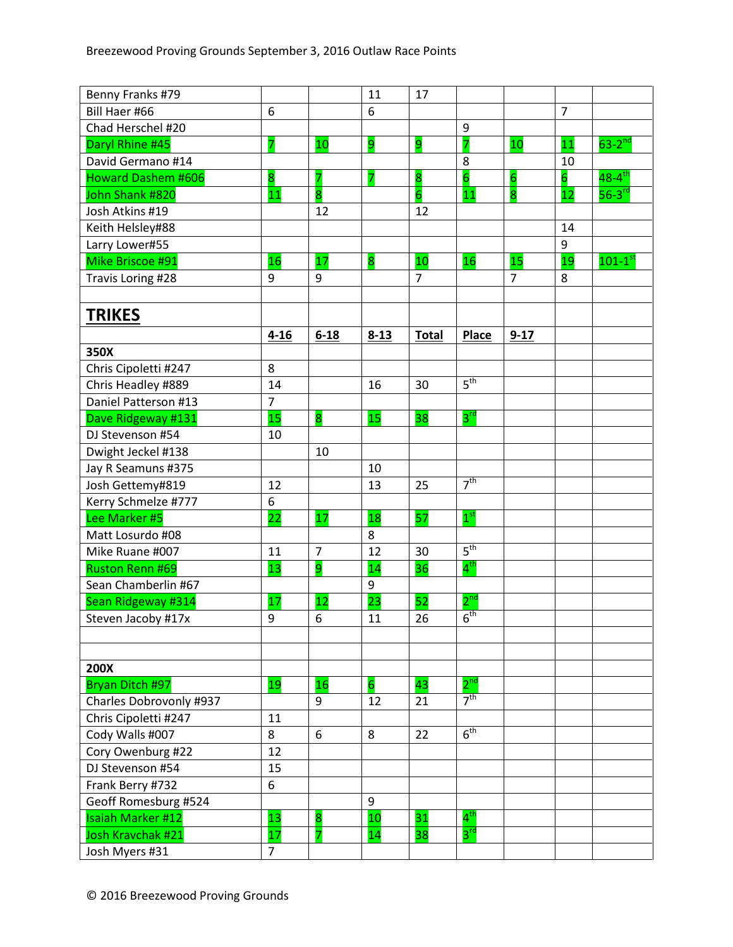| Benny Franks #79                           |                |                | 11                      | 17                      |                 |                         |                |                         |
|--------------------------------------------|----------------|----------------|-------------------------|-------------------------|-----------------|-------------------------|----------------|-------------------------|
| Bill Haer #66                              | 6              |                | 6                       |                         |                 |                         | $\overline{7}$ |                         |
| Chad Herschel #20                          |                |                |                         |                         | 9               |                         |                |                         |
| Daryl Rhine #45                            | 7              | 10             | 9                       | 9                       | $\overline{7}$  | 10                      | 11             | $63-2$ <sup>nd</sup>    |
| David Germano #14                          |                |                |                         |                         | 8               |                         | 10             |                         |
| <b>Howard Dashem #606</b>                  | 8              | 7              | $\overline{\mathbf{z}}$ | $\overline{\mathbf{8}}$ | $\overline{6}$  | $6\overline{6}$         | $\overline{6}$ | $48 - 4$ <sup>th</sup>  |
| John Shank #820                            | 11             | 8              |                         | $\overline{6}$          | 11              | $\overline{\mathbf{8}}$ | 12             | $56-3$ <sup>rd</sup>    |
| Josh Atkins #19                            |                | 12             |                         | 12                      |                 |                         |                |                         |
| Keith Helsley#88                           |                |                |                         |                         |                 |                         | 14             |                         |
| Larry Lower#55                             |                |                |                         |                         |                 |                         | 9              |                         |
| Mike Briscoe #91                           | 16             | 17             | 8                       | 10                      | 16              | 15                      | 19             | $101 - 1$ <sup>st</sup> |
| Travis Loring #28                          | 9              | 9              |                         | $\overline{7}$          |                 | $\overline{7}$          | 8              |                         |
|                                            |                |                |                         |                         |                 |                         |                |                         |
| <b>TRIKES</b>                              |                |                |                         |                         |                 |                         |                |                         |
|                                            | $4 - 16$       | $6 - 18$       | $8 - 13$                | <b>Total</b>            | <b>Place</b>    | $9 - 17$                |                |                         |
| 350X                                       |                |                |                         |                         |                 |                         |                |                         |
| Chris Cipoletti #247                       | 8              |                |                         |                         |                 |                         |                |                         |
|                                            | 14             |                | 16                      | 30                      | 5 <sup>th</sup> |                         |                |                         |
| Chris Headley #889<br>Daniel Patterson #13 | $\overline{7}$ |                |                         |                         |                 |                         |                |                         |
|                                            | 15             |                | 15                      | 38                      | $3^{\text{rd}}$ |                         |                |                         |
| Dave Ridgeway #131                         |                | 8              |                         |                         |                 |                         |                |                         |
| DJ Stevenson #54                           | 10             |                |                         |                         |                 |                         |                |                         |
| Dwight Jeckel #138                         |                | 10             |                         |                         |                 |                         |                |                         |
| Jay R Seamuns #375                         |                |                | 10                      |                         | 7 <sup>th</sup> |                         |                |                         |
| Josh Gettemy#819                           | 12             |                | 13                      | 25                      |                 |                         |                |                         |
| Kerry Schmelze #777                        | 6              |                |                         |                         |                 |                         |                |                         |
| Lee Marker #5                              | 22             | 17             | 18                      | 57                      | $1^{\rm st}$    |                         |                |                         |
| Matt Losurdo #08                           |                |                | 8                       |                         |                 |                         |                |                         |
| Mike Ruane #007                            | 11             | $\overline{7}$ | 12                      | 30                      | 5 <sup>th</sup> |                         |                |                         |
| <b>Ruston Renn #69</b>                     | 13             | 9              | 14                      | 36                      | $4^{\text{th}}$ |                         |                |                         |
| Sean Chamberlin #67                        |                |                | 9                       |                         |                 |                         |                |                         |
| Sean Ridgeway #314                         | 17             | 12             | 23                      | 52                      | $2^{\text{nd}}$ |                         |                |                         |
| Steven Jacoby #17x                         | 9              | 6              | 11                      | 26                      | 6 <sup>th</sup> |                         |                |                         |
|                                            |                |                |                         |                         |                 |                         |                |                         |
|                                            |                |                |                         |                         |                 |                         |                |                         |
| <b>200X</b>                                |                |                |                         |                         |                 |                         |                |                         |
| Bryan Ditch #97                            | 19             | 16             | $\overline{6}$          | 43                      | $2^{\text{nd}}$ |                         |                |                         |
| Charles Dobrovonly #937                    |                | 9              | 12                      | 21                      | 7 <sup>th</sup> |                         |                |                         |
| Chris Cipoletti #247                       | 11             |                |                         |                         |                 |                         |                |                         |
| Cody Walls #007                            | 8              | 6              | 8                       | 22                      | 6 <sup>th</sup> |                         |                |                         |
| Cory Owenburg #22                          | 12             |                |                         |                         |                 |                         |                |                         |
| DJ Stevenson #54                           | 15             |                |                         |                         |                 |                         |                |                         |
| Frank Berry #732                           | 6              |                |                         |                         |                 |                         |                |                         |
| Geoff Romesburg #524                       |                |                | 9                       |                         |                 |                         |                |                         |
| <b>Isaiah Marker #12</b>                   | 13             | 8              | 10                      | 31                      | $4^{\sf th}$    |                         |                |                         |
| Josh Kravchak #21                          | 17             |                | 14                      | 38                      | $3^{\text{rd}}$ |                         |                |                         |
| Josh Myers #31                             | $\overline{7}$ |                |                         |                         |                 |                         |                |                         |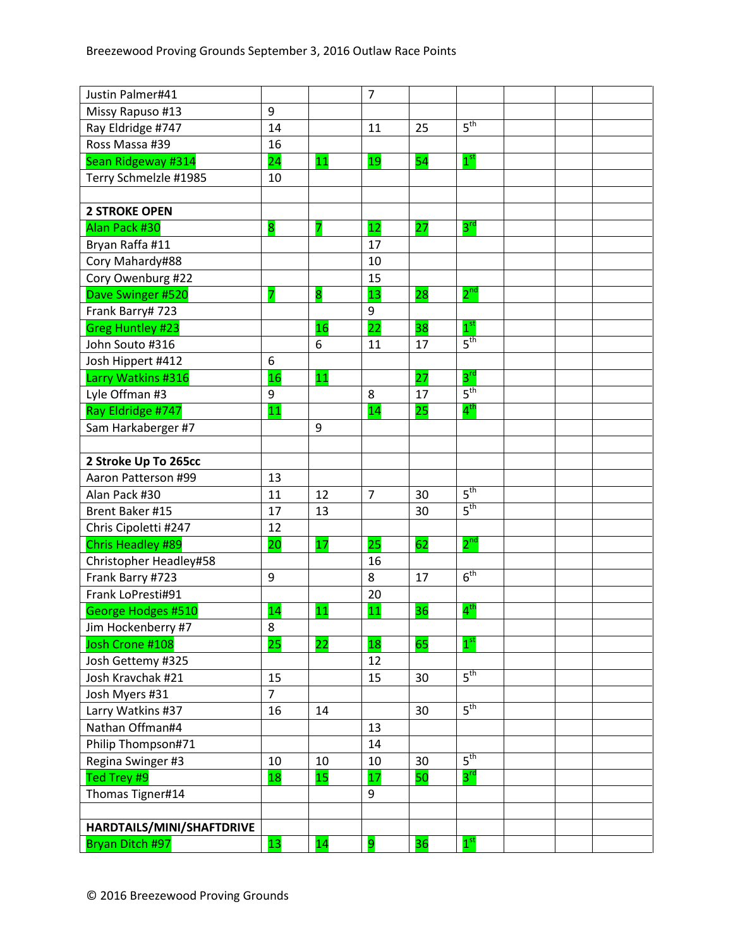| Justin Palmer#41          |                 |    | $\overline{7}$ |    |                 |  |  |
|---------------------------|-----------------|----|----------------|----|-----------------|--|--|
| Missy Rapuso #13          | 9               |    |                |    |                 |  |  |
| Ray Eldridge #747         | 14              |    | 11             | 25 | 5 <sup>th</sup> |  |  |
| Ross Massa #39            | 16              |    |                |    |                 |  |  |
| Sean Ridgeway #314        | $\overline{24}$ | 11 | 19             | 54 | 1 <sup>st</sup> |  |  |
| Terry Schmelzle #1985     | 10              |    |                |    |                 |  |  |
|                           |                 |    |                |    |                 |  |  |
| <b>2 STROKE OPEN</b>      |                 |    |                |    |                 |  |  |
| Alan Pack #30             | 8               |    | 12             | 27 | $3^{\text{rd}}$ |  |  |
| Bryan Raffa #11           |                 |    | 17             |    |                 |  |  |
| Cory Mahardy#88           |                 |    | 10             |    |                 |  |  |
| Cory Owenburg #22         |                 |    | 15             |    |                 |  |  |
| Dave Swinger #520         |                 | 8  | 13             | 28 | $2^{\text{nd}}$ |  |  |
| Frank Barry# 723          |                 |    | 9              |    |                 |  |  |
| <b>Greg Huntley #23</b>   |                 | 16 | 22             | 38 | 1 <sup>st</sup> |  |  |
| John Souto #316           |                 | 6  | 11             | 17 | 5 <sup>th</sup> |  |  |
| Josh Hippert #412         | 6               |    |                |    |                 |  |  |
| Larry Watkins #316        | 16              | 11 |                | 27 | $3^{\text{rd}}$ |  |  |
| Lyle Offman #3            | 9               |    | 8              | 17 | 5 <sup>th</sup> |  |  |
| Ray Eldridge #747         | 11              |    | 14             | 25 | $4^{\text{th}}$ |  |  |
| Sam Harkaberger #7        |                 | 9  |                |    |                 |  |  |
|                           |                 |    |                |    |                 |  |  |
| 2 Stroke Up To 265cc      |                 |    |                |    |                 |  |  |
| Aaron Patterson #99       | 13              |    |                |    |                 |  |  |
| Alan Pack #30             | 11              | 12 | $\overline{7}$ | 30 | 5 <sup>th</sup> |  |  |
| Brent Baker #15           | 17              | 13 |                | 30 | 5 <sup>th</sup> |  |  |
| Chris Cipoletti #247      | 12              |    |                |    |                 |  |  |
| <b>Chris Headley #89</b>  | 20              | 17 | 25             | 62 | $2^{nd}$        |  |  |
| Christopher Headley#58    |                 |    | 16             |    |                 |  |  |
| Frank Barry #723          | 9               |    | 8              | 17 | 6 <sup>th</sup> |  |  |
| Frank LoPresti#91         |                 |    | 20             |    |                 |  |  |
| George Hodges #510        | 14              | 11 | 11             | 36 | $4^{\text{th}}$ |  |  |
| Jim Hockenberry #7        | 8               |    |                |    |                 |  |  |
| Josh Crone #108           | 25              | 22 | 18             | 65 | 1 <sup>st</sup> |  |  |
| Josh Gettemy #325         |                 |    | 12             |    |                 |  |  |
| Josh Kravchak #21         | 15              |    | 15             | 30 | 5 <sup>th</sup> |  |  |
| Josh Myers #31            | $\overline{7}$  |    |                |    |                 |  |  |
| Larry Watkins #37         | 16              | 14 |                | 30 | 5 <sup>th</sup> |  |  |
| Nathan Offman#4           |                 |    | 13             |    |                 |  |  |
| Philip Thompson#71        |                 |    | 14             |    |                 |  |  |
| Regina Swinger #3         | 10              | 10 | 10             | 30 | $5^{\text{th}}$ |  |  |
| Ted Trey #9               | 18              | 15 | 17             | 50 | $3^{\text{rd}}$ |  |  |
| Thomas Tigner#14          |                 |    | 9              |    |                 |  |  |
|                           |                 |    |                |    |                 |  |  |
| HARDTAILS/MINI/SHAFTDRIVE |                 |    |                |    |                 |  |  |
| Bryan Ditch #97           | 13              | 14 | 9              | 36 | 1 <sup>st</sup> |  |  |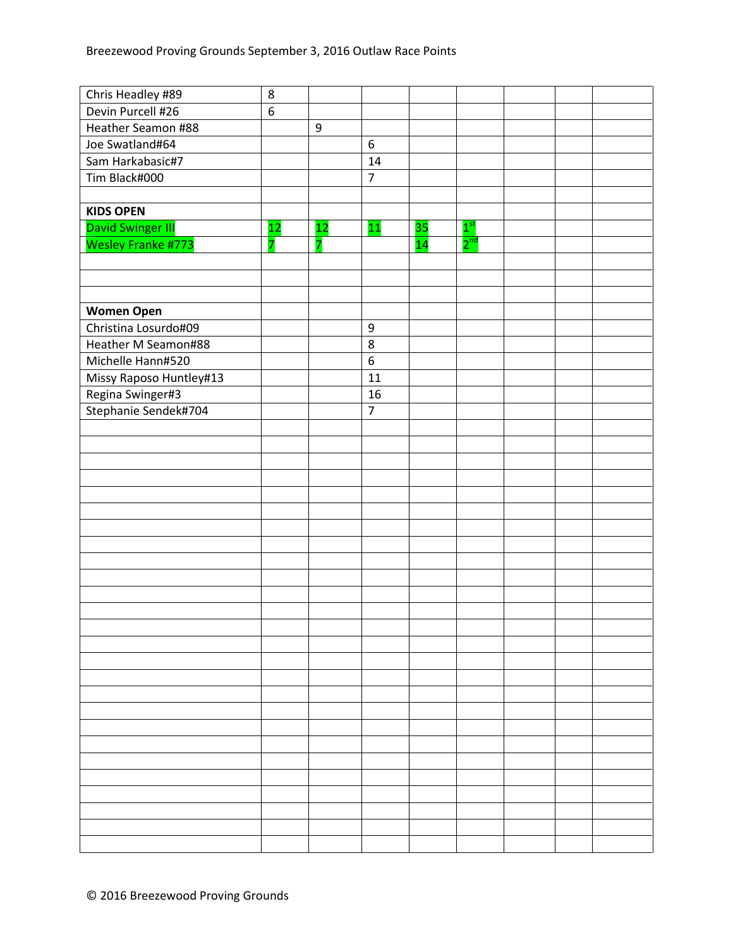| Chris Headley #89        | 8                |                  |                  |    |                 |  |  |
|--------------------------|------------------|------------------|------------------|----|-----------------|--|--|
| Devin Purcell #26        | $\boldsymbol{6}$ |                  |                  |    |                 |  |  |
| Heather Seamon #88       |                  | $\boldsymbol{9}$ |                  |    |                 |  |  |
| Joe Swatland#64          |                  |                  | $6\,$            |    |                 |  |  |
| Sam Harkabasic#7         |                  |                  | 14               |    |                 |  |  |
| Tim Black#000            |                  |                  | $\overline{7}$   |    |                 |  |  |
|                          |                  |                  |                  |    |                 |  |  |
| <b>KIDS OPEN</b>         |                  |                  |                  |    |                 |  |  |
| <b>David Swinger III</b> | 12               | 12               | 11               | 35 | 1 <sup>st</sup> |  |  |
| Wesley Franke #773       | 7                | 7                |                  | 14 | $2^{\text{nd}}$ |  |  |
|                          |                  |                  |                  |    |                 |  |  |
|                          |                  |                  |                  |    |                 |  |  |
|                          |                  |                  |                  |    |                 |  |  |
| <b>Women Open</b>        |                  |                  |                  |    |                 |  |  |
| Christina Losurdo#09     |                  |                  | $\boldsymbol{9}$ |    |                 |  |  |
| Heather M Seamon#88      |                  |                  | $\bf 8$          |    |                 |  |  |
| Michelle Hann#520        |                  |                  | $6\,$            |    |                 |  |  |
| Missy Raposo Huntley#13  |                  |                  | 11               |    |                 |  |  |
| Regina Swinger#3         |                  |                  | 16               |    |                 |  |  |
| Stephanie Sendek#704     |                  |                  | $\overline{7}$   |    |                 |  |  |
|                          |                  |                  |                  |    |                 |  |  |
|                          |                  |                  |                  |    |                 |  |  |
|                          |                  |                  |                  |    |                 |  |  |
|                          |                  |                  |                  |    |                 |  |  |
|                          |                  |                  |                  |    |                 |  |  |
|                          |                  |                  |                  |    |                 |  |  |
|                          |                  |                  |                  |    |                 |  |  |
|                          |                  |                  |                  |    |                 |  |  |
|                          |                  |                  |                  |    |                 |  |  |
|                          |                  |                  |                  |    |                 |  |  |
|                          |                  |                  |                  |    |                 |  |  |
|                          |                  |                  |                  |    |                 |  |  |
|                          |                  |                  |                  |    |                 |  |  |
|                          |                  |                  |                  |    |                 |  |  |
|                          |                  |                  |                  |    |                 |  |  |
|                          |                  |                  |                  |    |                 |  |  |
|                          |                  |                  |                  |    |                 |  |  |
|                          |                  |                  |                  |    |                 |  |  |
|                          |                  |                  |                  |    |                 |  |  |
|                          |                  |                  |                  |    |                 |  |  |
|                          |                  |                  |                  |    |                 |  |  |
|                          |                  |                  |                  |    |                 |  |  |
|                          |                  |                  |                  |    |                 |  |  |
|                          |                  |                  |                  |    |                 |  |  |
|                          |                  |                  |                  |    |                 |  |  |
|                          |                  |                  |                  |    |                 |  |  |
|                          |                  |                  |                  |    |                 |  |  |